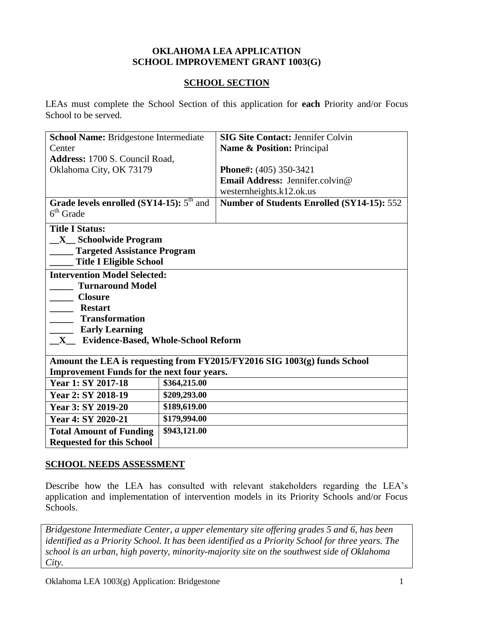#### **OKLAHOMA LEA APPLICATION SCHOOL IMPROVEMENT GRANT 1003(G)**

#### **SCHOOL SECTION**

LEAs must complete the School Section of this application for **each** Priority and/or Focus School to be served.

| School Name: Bridgestone Intermediate                                                                                         |                            | <b>SIG Site Contact: Jennifer Colvin</b>          |  |
|-------------------------------------------------------------------------------------------------------------------------------|----------------------------|---------------------------------------------------|--|
| Center                                                                                                                        | Name & Position: Principal |                                                   |  |
| Address: 1700 S. Council Road,                                                                                                |                            |                                                   |  |
| Oklahoma City, OK 73179                                                                                                       |                            | Phone#: (405) 350-3421                            |  |
|                                                                                                                               |                            | Email Address: Jennifer.colvin@                   |  |
|                                                                                                                               |                            | westernheights.k12.ok.us                          |  |
| Grade levels enrolled (SY14-15): $5th$ and                                                                                    |                            | <b>Number of Students Enrolled (SY14-15): 552</b> |  |
| $6th$ Grade                                                                                                                   |                            |                                                   |  |
| <b>Title I Status:</b>                                                                                                        |                            |                                                   |  |
| <b>X</b> Schoolwide Program                                                                                                   |                            |                                                   |  |
| <b>Targeted Assistance Program</b>                                                                                            |                            |                                                   |  |
| <b>Title I Eligible School</b>                                                                                                |                            |                                                   |  |
| <b>Intervention Model Selected:</b>                                                                                           |                            |                                                   |  |
| <b>Turnaround Model</b>                                                                                                       |                            |                                                   |  |
| <b>Closure</b>                                                                                                                |                            |                                                   |  |
| <b>Restart</b>                                                                                                                |                            |                                                   |  |
| <b>Transformation</b>                                                                                                         |                            |                                                   |  |
| <b>Early Learning</b>                                                                                                         |                            |                                                   |  |
| <b>X</b> Evidence-Based, Whole-School Reform                                                                                  |                            |                                                   |  |
|                                                                                                                               |                            |                                                   |  |
| Amount the LEA is requesting from FY2015/FY2016 SIG 1003(g) funds School<br><b>Improvement Funds for the next four years.</b> |                            |                                                   |  |
| \$364,215.00<br>Year 1: SY 2017-18                                                                                            |                            |                                                   |  |
| Year 2: SY 2018-19                                                                                                            | \$209,293.00               |                                                   |  |
| Year 3: SY 2019-20                                                                                                            | \$189,619.00               |                                                   |  |
| Year 4: SY 2020-21                                                                                                            | \$179,994.00               |                                                   |  |
|                                                                                                                               |                            |                                                   |  |
| <b>Total Amount of Funding</b>                                                                                                | \$943,121.00               |                                                   |  |
| <b>Requested for this School</b>                                                                                              |                            |                                                   |  |

#### **SCHOOL NEEDS ASSESSMENT**

Describe how the LEA has consulted with relevant stakeholders regarding the LEA's application and implementation of intervention models in its Priority Schools and/or Focus Schools.

*Bridgestone Intermediate Center, a upper elementary site offering grades 5 and 6, has been identified as a Priority School. It has been identified as a Priority School for three years. The school is an urban, high poverty, minority-majority site on the southwest side of Oklahoma City.*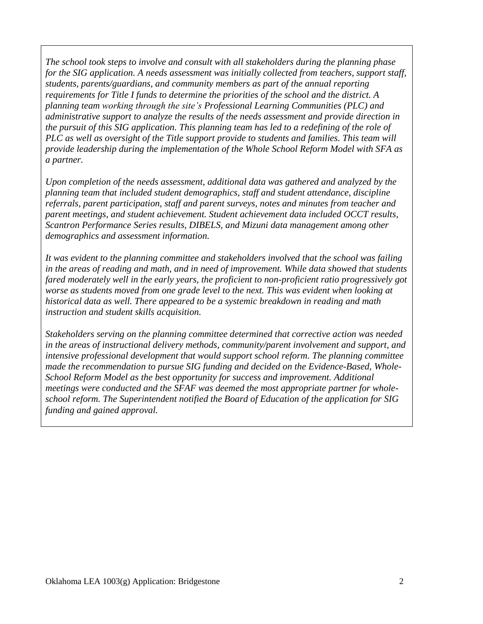*The school took steps to involve and consult with all stakeholders during the planning phase for the SIG application. A needs assessment was initially collected from teachers, support staff, students, parents/guardians, and community members as part of the annual reporting requirements for Title I funds to determine the priorities of the school and the district. A planning team working through the site's Professional Learning Communities (PLC) and administrative support to analyze the results of the needs assessment and provide direction in the pursuit of this SIG application. This planning team has led to a redefining of the role of PLC as well as oversight of the Title support provide to students and families. This team will provide leadership during the implementation of the Whole School Reform Model with SFA as a partner.* 

*Upon completion of the needs assessment, additional data was gathered and analyzed by the planning team that included student demographics, staff and student attendance, discipline referrals, parent participation, staff and parent surveys, notes and minutes from teacher and parent meetings, and student achievement. Student achievement data included OCCT results, Scantron Performance Series results, DIBELS, and Mizuni data management among other demographics and assessment information.*

*It was evident to the planning committee and stakeholders involved that the school was failing in the areas of reading and math, and in need of improvement. While data showed that students fared moderately well in the early years, the proficient to non-proficient ratio progressively got worse as students moved from one grade level to the next. This was evident when looking at historical data as well. There appeared to be a systemic breakdown in reading and math instruction and student skills acquisition.*

*Stakeholders serving on the planning committee determined that corrective action was needed in the areas of instructional delivery methods, community/parent involvement and support, and intensive professional development that would support school reform. The planning committee made the recommendation to pursue SIG funding and decided on the Evidence-Based, Whole-School Reform Model as the best opportunity for success and improvement. Additional meetings were conducted and the SFAF was deemed the most appropriate partner for wholeschool reform. The Superintendent notified the Board of Education of the application for SIG funding and gained approval.*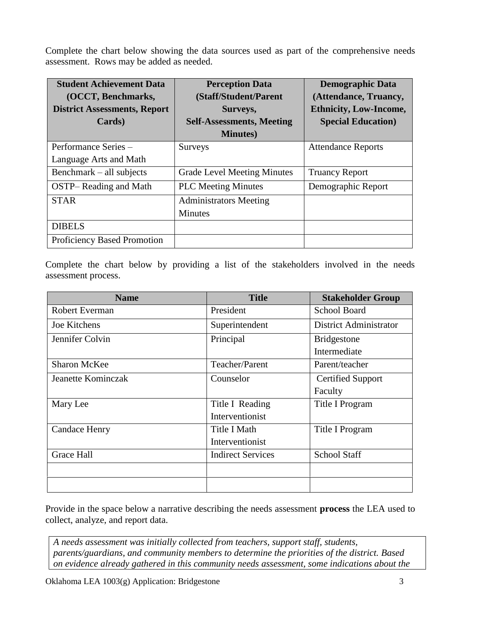Complete the chart below showing the data sources used as part of the comprehensive needs assessment. Rows may be added as needed.

| <b>Student Achievement Data</b>     | <b>Perception Data</b>             | <b>Demographic Data</b>       |
|-------------------------------------|------------------------------------|-------------------------------|
| (OCCT, Benchmarks,                  | (Staff/Student/Parent              | (Attendance, Truancy,         |
| <b>District Assessments, Report</b> | Surveys,                           | <b>Ethnicity, Low-Income,</b> |
| Cards)                              | <b>Self-Assessments, Meeting</b>   | <b>Special Education</b> )    |
|                                     | <b>Minutes</b> )                   |                               |
| Performance Series -                | <b>Surveys</b>                     | <b>Attendance Reports</b>     |
| Language Arts and Math              |                                    |                               |
| Benchmark – all subjects            | <b>Grade Level Meeting Minutes</b> | <b>Truancy Report</b>         |
| <b>OSTP-Reading and Math</b>        | <b>PLC</b> Meeting Minutes         | Demographic Report            |
| <b>STAR</b>                         | <b>Administrators Meeting</b>      |                               |
|                                     | <b>Minutes</b>                     |                               |
| <b>DIBELS</b>                       |                                    |                               |
| Proficiency Based Promotion         |                                    |                               |

Complete the chart below by providing a list of the stakeholders involved in the needs assessment process.

| <b>Name</b>         | <b>Title</b>             | <b>Stakeholder Group</b>      |
|---------------------|--------------------------|-------------------------------|
| Robert Everman      | President                | <b>School Board</b>           |
| Joe Kitchens        | Superintendent           | <b>District Administrator</b> |
| Jennifer Colvin     | Principal                | <b>Bridgestone</b>            |
|                     |                          | Intermediate                  |
| <b>Sharon McKee</b> | Teacher/Parent           | Parent/teacher                |
| Jeanette Kominczak  | Counselor                | <b>Certified Support</b>      |
|                     |                          | Faculty                       |
| Mary Lee            | Title I Reading          | Title I Program               |
|                     | Interventionist          |                               |
| Candace Henry       | Title I Math             | Title I Program               |
|                     | Interventionist          |                               |
| <b>Grace Hall</b>   | <b>Indirect Services</b> | <b>School Staff</b>           |
|                     |                          |                               |
|                     |                          |                               |

Provide in the space below a narrative describing the needs assessment **process** the LEA used to collect, analyze, and report data.

*A needs assessment was initially collected from teachers, support staff, students, parents/guardians, and community members to determine the priorities of the district. Based on evidence already gathered in this community needs assessment, some indications about the*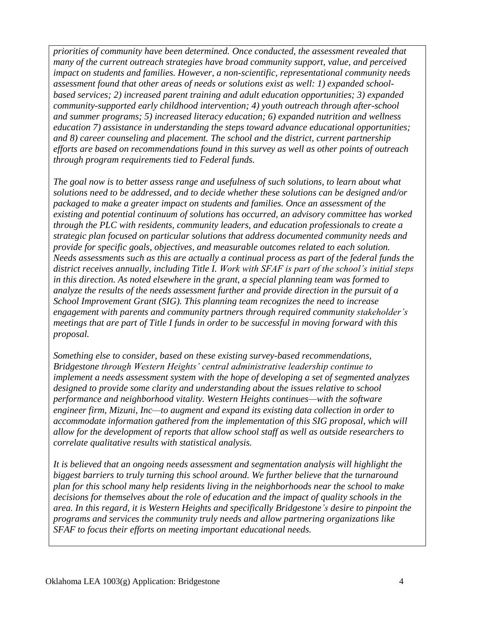*priorities of community have been determined. Once conducted, the assessment revealed that many of the current outreach strategies have broad community support, value, and perceived impact on students and families. However, a non-scientific, representational community needs assessment found that other areas of needs or solutions exist as well: 1) expanded schoolbased services; 2) increased parent training and adult education opportunities; 3) expanded community-supported early childhood intervention; 4) youth outreach through after-school and summer programs; 5) increased literacy education; 6) expanded nutrition and wellness education 7) assistance in understanding the steps toward advance educational opportunities; and 8) career counseling and placement. The school and the district, current partnership efforts are based on recommendations found in this survey as well as other points of outreach through program requirements tied to Federal funds.* 

*The goal now is to better assess range and usefulness of such solutions, to learn about what solutions need to be addressed, and to decide whether these solutions can be designed and/or packaged to make a greater impact on students and families. Once an assessment of the existing and potential continuum of solutions has occurred, an advisory committee has worked through the PLC with residents, community leaders, and education professionals to create a strategic plan focused on particular solutions that address documented community needs and provide for specific goals, objectives, and measurable outcomes related to each solution. Needs assessments such as this are actually a continual process as part of the federal funds the district receives annually, including Title I. Work with SFAF is part of the school's initial steps in this direction. As noted elsewhere in the grant, a special planning team was formed to analyze the results of the needs assessment further and provide direction in the pursuit of a School Improvement Grant (SIG). This planning team recognizes the need to increase engagement with parents and community partners through required community stakeholder's meetings that are part of Title I funds in order to be successful in moving forward with this proposal.*

*Something else to consider, based on these existing survey-based recommendations, Bridgestone through Western Heights' central administrative leadership continue to implement a needs assessment system with the hope of developing a set of segmented analyzes designed to provide some clarity and understanding about the issues relative to school performance and neighborhood vitality. Western Heights continues—with the software engineer firm, Mizuni, Inc—to augment and expand its existing data collection in order to accommodate information gathered from the implementation of this SIG proposal, which will allow for the development of reports that allow school staff as well as outside researchers to correlate qualitative results with statistical analysis.* 

*It is believed that an ongoing needs assessment and segmentation analysis will highlight the biggest barriers to truly turning this school around. We further believe that the turnaround plan for this school many help residents living in the neighborhoods near the school to make decisions for themselves about the role of education and the impact of quality schools in the area. In this regard, it is Western Heights and specifically Bridgestone's desire to pinpoint the programs and services the community truly needs and allow partnering organizations like SFAF to focus their efforts on meeting important educational needs.*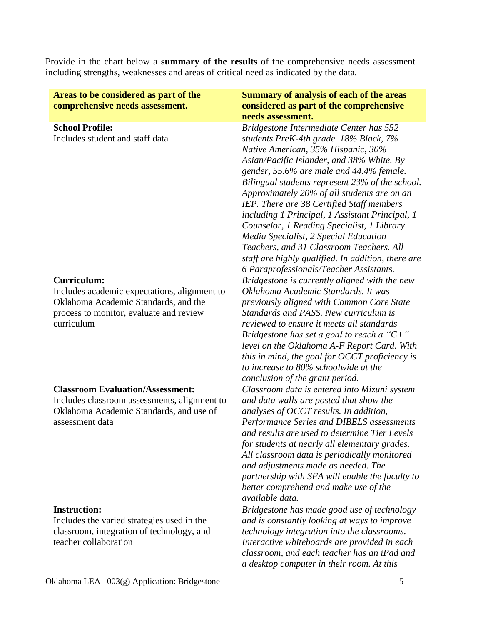Provide in the chart below a **summary of the results** of the comprehensive needs assessment including strengths, weaknesses and areas of critical need as indicated by the data.

| Areas to be considered as part of the<br>comprehensive needs assessment.                                                                                     | <b>Summary of analysis of each of the areas</b><br>considered as part of the comprehensive                                                                                                                                                                                                                                                                                                                                                                                                                                                                                                                  |
|--------------------------------------------------------------------------------------------------------------------------------------------------------------|-------------------------------------------------------------------------------------------------------------------------------------------------------------------------------------------------------------------------------------------------------------------------------------------------------------------------------------------------------------------------------------------------------------------------------------------------------------------------------------------------------------------------------------------------------------------------------------------------------------|
|                                                                                                                                                              | needs assessment.                                                                                                                                                                                                                                                                                                                                                                                                                                                                                                                                                                                           |
| <b>School Profile:</b><br>Includes student and staff data                                                                                                    | Bridgestone Intermediate Center has 552<br>students PreK-4th grade. 18% Black, 7%<br>Native American, 35% Hispanic, 30%<br>Asian/Pacific Islander, and 38% White. By<br>gender, 55.6% are male and 44.4% female.<br>Bilingual students represent 23% of the school.<br>Approximately 20% of all students are on an<br>IEP. There are 38 Certified Staff members<br>including 1 Principal, 1 Assistant Principal, 1<br>Counselor, 1 Reading Specialist, 1 Library<br>Media Specialist, 2 Special Education<br>Teachers, and 31 Classroom Teachers. All<br>staff are highly qualified. In addition, there are |
|                                                                                                                                                              | 6 Paraprofessionals/Teacher Assistants.                                                                                                                                                                                                                                                                                                                                                                                                                                                                                                                                                                     |
| Curriculum:<br>Includes academic expectations, alignment to<br>Oklahoma Academic Standards, and the<br>process to monitor, evaluate and review<br>curriculum | Bridgestone is currently aligned with the new<br>Oklahoma Academic Standards. It was<br>previously aligned with Common Core State<br>Standards and PASS. New curriculum is<br>reviewed to ensure it meets all standards<br>Bridgestone has set a goal to reach a " $C+$ "<br>level on the Oklahoma A-F Report Card. With<br>this in mind, the goal for OCCT proficiency is<br>to increase to 80% schoolwide at the<br>conclusion of the grant period.                                                                                                                                                       |
| <b>Classroom Evaluation/Assessment:</b><br>Includes classroom assessments, alignment to<br>Oklahoma Academic Standards, and use of<br>assessment data        | Classroom data is entered into Mizuni system<br>and data walls are posted that show the<br>analyses of OCCT results. In addition,<br>Performance Series and DIBELS assessments<br>and results are used to determine Tier Levels<br>for students at nearly all elementary grades.<br>All classroom data is periodically monitored<br>and adjustments made as needed. The<br>partnership with SFA will enable the faculty to<br>better comprehend and make use of the<br>available data.                                                                                                                      |
| <b>Instruction:</b><br>Includes the varied strategies used in the<br>classroom, integration of technology, and<br>teacher collaboration                      | Bridgestone has made good use of technology<br>and is constantly looking at ways to improve<br>technology integration into the classrooms.<br>Interactive whiteboards are provided in each<br>classroom, and each teacher has an iPad and<br>a desktop computer in their room. At this                                                                                                                                                                                                                                                                                                                      |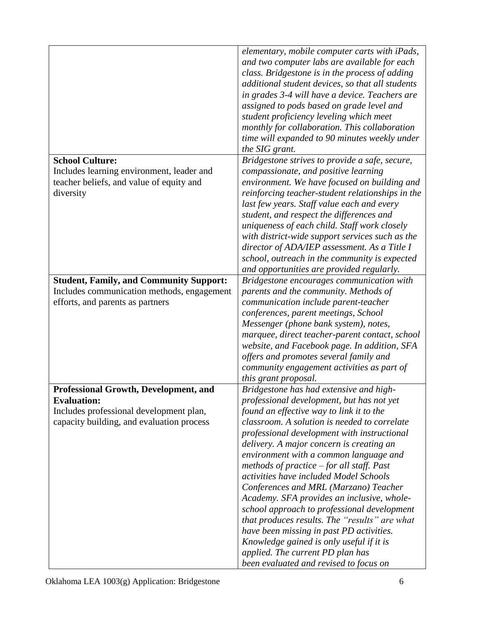|                                                | elementary, mobile computer carts with iPads,    |
|------------------------------------------------|--------------------------------------------------|
|                                                | and two computer labs are available for each     |
|                                                | class. Bridgestone is in the process of adding   |
|                                                | additional student devices, so that all students |
|                                                | in grades 3-4 will have a device. Teachers are   |
|                                                | assigned to pods based on grade level and        |
|                                                | student proficiency leveling which meet          |
|                                                | monthly for collaboration. This collaboration    |
|                                                |                                                  |
|                                                | time will expanded to 90 minutes weekly under    |
| <b>School Culture:</b>                         | the SIG grant.                                   |
|                                                | Bridgestone strives to provide a safe, secure,   |
| Includes learning environment, leader and      | compassionate, and positive learning             |
| teacher beliefs, and value of equity and       | environment. We have focused on building and     |
| diversity                                      | reinforcing teacher-student relationships in the |
|                                                | last few years. Staff value each and every       |
|                                                | student, and respect the differences and         |
|                                                | uniqueness of each child. Staff work closely     |
|                                                | with district-wide support services such as the  |
|                                                | director of ADA/IEP assessment. As a Title I     |
|                                                | school, outreach in the community is expected    |
|                                                | and opportunities are provided regularly.        |
| <b>Student, Family, and Community Support:</b> | Bridgestone encourages communication with        |
| Includes communication methods, engagement     | parents and the community. Methods of            |
| efforts, and parents as partners               | communication include parent-teacher             |
|                                                | conferences, parent meetings, School             |
|                                                | Messenger (phone bank system), notes,            |
|                                                | marquee, direct teacher-parent contact, school   |
|                                                | website, and Facebook page. In addition, SFA     |
|                                                | offers and promotes several family and           |
|                                                | community engagement activities as part of       |
|                                                | this grant proposal.                             |
| Professional Growth, Development, and          | Bridgestone has had extensive and high-          |
| <b>Evaluation:</b>                             | professional development, but has not yet        |
| Includes professional development plan,        | found an effective way to link it to the         |
| capacity building, and evaluation process      | classroom. A solution is needed to correlate     |
|                                                | professional development with instructional      |
|                                                | delivery. A major concern is creating an         |
|                                                | environment with a common language and           |
|                                                | methods of practice $-$ for all staff. Past      |
|                                                | activities have included Model Schools           |
|                                                | Conferences and MRL (Marzano) Teacher            |
|                                                | Academy. SFA provides an inclusive, whole-       |
|                                                | school approach to professional development      |
|                                                | that produces results. The "results" are what    |
|                                                | have been missing in past PD activities.         |
|                                                | Knowledge gained is only useful if it is         |
|                                                | applied. The current PD plan has                 |
|                                                | been evaluated and revised to focus on           |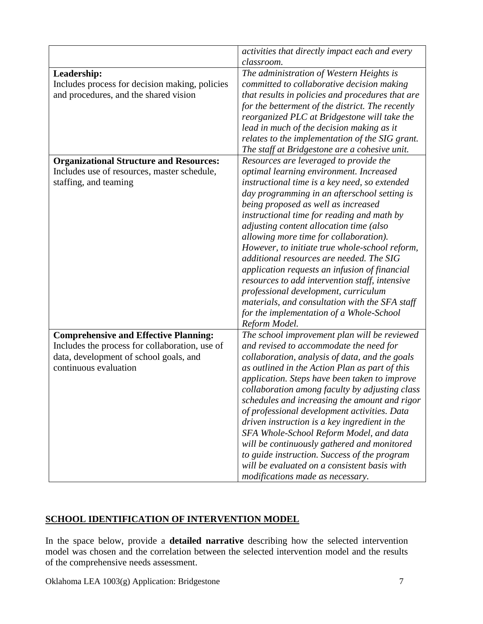|                                                               | activities that directly impact each and every                                         |
|---------------------------------------------------------------|----------------------------------------------------------------------------------------|
|                                                               | classroom.                                                                             |
| Leadership:<br>Includes process for decision making, policies | The administration of Western Heights is<br>committed to collaborative decision making |
| and procedures, and the shared vision                         | that results in policies and procedures that are                                       |
|                                                               | for the betterment of the district. The recently                                       |
|                                                               | reorganized PLC at Bridgestone will take the                                           |
|                                                               | lead in much of the decision making as it                                              |
|                                                               | relates to the implementation of the SIG grant.                                        |
|                                                               | The staff at Bridgestone are a cohesive unit.                                          |
| <b>Organizational Structure and Resources:</b>                | Resources are leveraged to provide the                                                 |
| Includes use of resources, master schedule,                   | optimal learning environment. Increased                                                |
| staffing, and teaming                                         | instructional time is a key need, so extended                                          |
|                                                               | day programming in an afterschool setting is                                           |
|                                                               | being proposed as well as increased                                                    |
|                                                               | instructional time for reading and math by                                             |
|                                                               | adjusting content allocation time (also                                                |
|                                                               | allowing more time for collaboration).                                                 |
|                                                               | However, to initiate true whole-school reform,                                         |
|                                                               | additional resources are needed. The SIG                                               |
|                                                               | application requests an infusion of financial                                          |
|                                                               | resources to add intervention staff, intensive                                         |
|                                                               | professional development, curriculum                                                   |
|                                                               | materials, and consultation with the SFA staff                                         |
|                                                               | for the implementation of a Whole-School                                               |
|                                                               | Reform Model.                                                                          |
| <b>Comprehensive and Effective Planning:</b>                  | The school improvement plan will be reviewed                                           |
| Includes the process for collaboration, use of                | and revised to accommodate the need for                                                |
| data, development of school goals, and                        | collaboration, analysis of data, and the goals                                         |
| continuous evaluation                                         | as outlined in the Action Plan as part of this                                         |
|                                                               | application. Steps have been taken to improve                                          |
|                                                               | collaboration among faculty by adjusting class                                         |
|                                                               | schedules and increasing the amount and rigor                                          |
|                                                               | of professional development activities. Data                                           |
|                                                               | driven instruction is a key ingredient in the                                          |
|                                                               | SFA Whole-School Reform Model, and data                                                |
|                                                               | will be continuously gathered and monitored                                            |
|                                                               | to guide instruction. Success of the program                                           |
|                                                               | will be evaluated on a consistent basis with                                           |
|                                                               | modifications made as necessary.                                                       |

### **SCHOOL IDENTIFICATION OF INTERVENTION MODEL**

In the space below, provide a **detailed narrative** describing how the selected intervention model was chosen and the correlation between the selected intervention model and the results of the comprehensive needs assessment.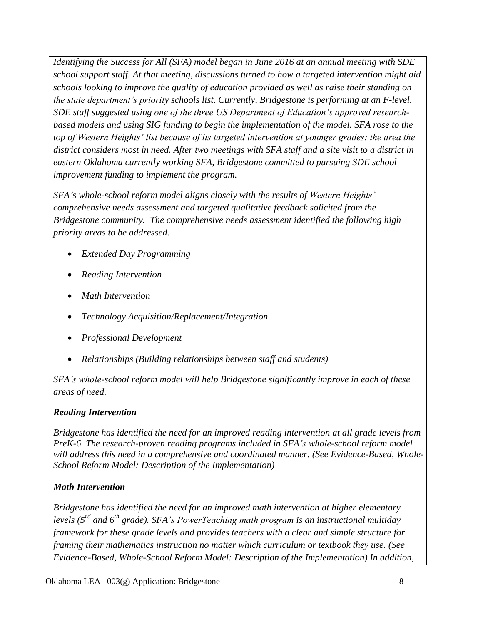*Identifying the Success for All (SFA) model began in June 2016 at an annual meeting with SDE school support staff. At that meeting, discussions turned to how a targeted intervention might aid schools looking to improve the quality of education provided as well as raise their standing on the state department's priority schools list. Currently, Bridgestone is performing at an F-level. SDE staff suggested using one of the three US Department of Education's approved researchbased models and using SIG funding to begin the implementation of the model. SFA rose to the top of Western Heights' list because of its targeted intervention at younger grades: the area the district considers most in need. After two meetings with SFA staff and a site visit to a district in eastern Oklahoma currently working SFA, Bridgestone committed to pursuing SDE school improvement funding to implement the program.*

*SFA's whole-school reform model aligns closely with the results of Western Heights' comprehensive needs assessment and targeted qualitative feedback solicited from the Bridgestone community. The comprehensive needs assessment identified the following high priority areas to be addressed.*

- *Extended Day Programming*
- *Reading Intervention*
- *Math Intervention*
- *Technology Acquisition/Replacement/Integration*
- *Professional Development*
- *Relationships (Building relationships between staff and students)*

*SFA's whole-school reform model will help Bridgestone significantly improve in each of these areas of need.*

### *Reading Intervention*

*Bridgestone has identified the need for an improved reading intervention at all grade levels from PreK-6. The research-proven reading programs included in SFA's whole-school reform model will address this need in a comprehensive and coordinated manner. (See Evidence-Based, Whole-School Reform Model: Description of the Implementation)*

### *Math Intervention*

*Bridgestone has identified the need for an improved math intervention at higher elementary levels (5 rd and 6 th grade). SFA's PowerTeaching math program is an instructional multiday framework for these grade levels and provides teachers with a clear and simple structure for framing their mathematics instruction no matter which curriculum or textbook they use. (See Evidence-Based, Whole-School Reform Model: Description of the Implementation) In addition,*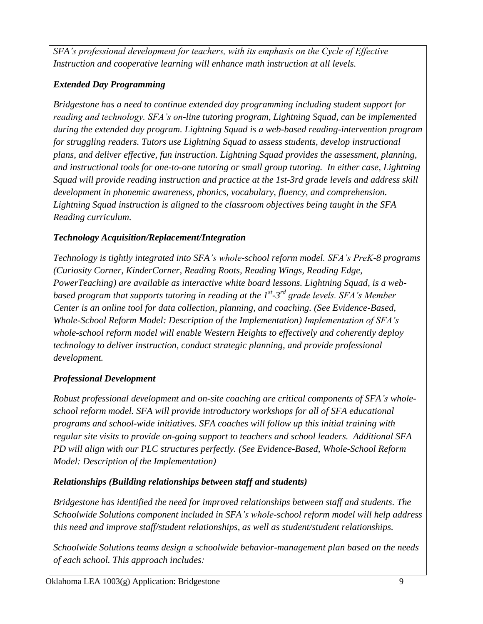*SFA's professional development for teachers, with its emphasis on the Cycle of Effective Instruction and cooperative learning will enhance math instruction at all levels.*

## *Extended Day Programming*

*Bridgestone has a need to continue extended day programming including student support for reading and technology. SFA's on-line tutoring program, Lightning Squad, can be implemented during the extended day program. Lightning Squad is a web-based reading-intervention program for struggling readers. Tutors use Lightning Squad to assess students, develop instructional plans, and deliver effective, fun instruction. Lightning Squad provides the assessment, planning, and instructional tools for one-to-one tutoring or small group tutoring. In either case, Lightning Squad will provide reading instruction and practice at the 1st-3rd grade levels and address skill development in phonemic awareness, phonics, vocabulary, fluency, and comprehension. Lightning Squad instruction is aligned to the classroom objectives being taught in the SFA Reading curriculum.*

## *Technology Acquisition/Replacement/Integration*

*Technology is tightly integrated into SFA's whole-school reform model. SFA's PreK-8 programs (Curiosity Corner, KinderCorner, Reading Roots, Reading Wings, Reading Edge, PowerTeaching) are available as interactive white board lessons. Lightning Squad, is a web*based program that supports tutoring in reading at the 1<sup>st</sup>-3<sup>rd</sup> grade levels. SFA's Member *Center is an online tool for data collection, planning, and coaching. (See Evidence-Based, Whole-School Reform Model: Description of the Implementation) Implementation of SFA's whole-school reform model will enable Western Heights to effectively and coherently deploy technology to deliver instruction, conduct strategic planning, and provide professional development.* 

# *Professional Development*

*Robust professional development and on-site coaching are critical components of SFA's wholeschool reform model. SFA will provide introductory workshops for all of SFA educational programs and school-wide initiatives. SFA coaches will follow up this initial training with regular site visits to provide on-going support to teachers and school leaders. Additional SFA PD will align with our PLC structures perfectly. (See Evidence-Based, Whole-School Reform Model: Description of the Implementation)*

# *Relationships (Building relationships between staff and students)*

*Bridgestone has identified the need for improved relationships between staff and students. The Schoolwide Solutions component included in SFA's whole-school reform model will help address this need and improve staff/student relationships, as well as student/student relationships.* 

*Schoolwide Solutions teams design a schoolwide behavior-management plan based on the needs of each school. This approach includes:*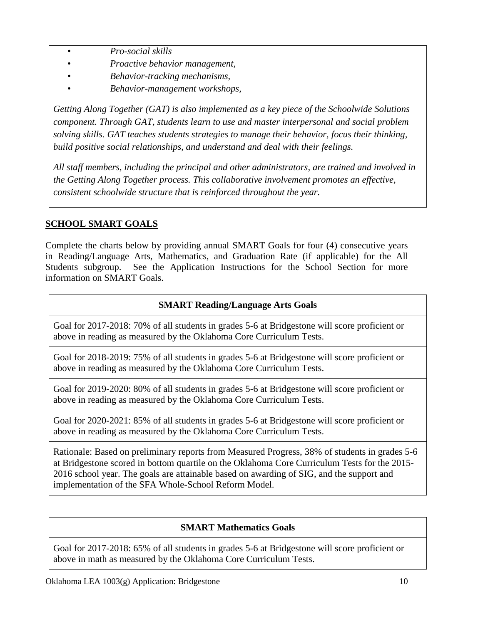- *Pro-social skills*
- *Proactive behavior management,*
- *Behavior-tracking mechanisms,*
- *Behavior-management workshops,*

*Getting Along Together (GAT) is also implemented as a key piece of the Schoolwide Solutions component. Through GAT, students learn to use and master interpersonal and social problem solving skills. GAT teaches students strategies to manage their behavior, focus their thinking, build positive social relationships, and understand and deal with their feelings.*

*All staff members, including the principal and other administrators, are trained and involved in the Getting Along Together process. This collaborative involvement promotes an effective, consistent schoolwide structure that is reinforced throughout the year.*

## **SCHOOL SMART GOALS**

Complete the charts below by providing annual SMART Goals for four (4) consecutive years in Reading/Language Arts, Mathematics, and Graduation Rate (if applicable) for the All Students subgroup. See the Application Instructions for the School Section for more information on SMART Goals.

### **SMART Reading/Language Arts Goals**

Goal for 2017-2018: 70% of all students in grades 5-6 at Bridgestone will score proficient or above in reading as measured by the Oklahoma Core Curriculum Tests.

Goal for 2018-2019: 75% of all students in grades 5-6 at Bridgestone will score proficient or above in reading as measured by the Oklahoma Core Curriculum Tests.

Goal for 2019-2020: 80% of all students in grades 5-6 at Bridgestone will score proficient or above in reading as measured by the Oklahoma Core Curriculum Tests.

Goal for 2020-2021: 85% of all students in grades 5-6 at Bridgestone will score proficient or above in reading as measured by the Oklahoma Core Curriculum Tests.

Rationale: Based on preliminary reports from Measured Progress, 38% of students in grades 5-6 at Bridgestone scored in bottom quartile on the Oklahoma Core Curriculum Tests for the 2015- 2016 school year. The goals are attainable based on awarding of SIG, and the support and implementation of the SFA Whole-School Reform Model.

### **SMART Mathematics Goals**

Goal for 2017-2018: 65% of all students in grades 5-6 at Bridgestone will score proficient or above in math as measured by the Oklahoma Core Curriculum Tests.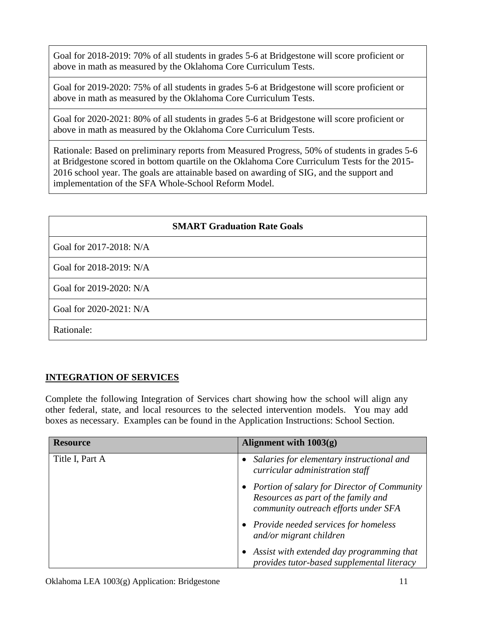Goal for 2018-2019: 70% of all students in grades 5-6 at Bridgestone will score proficient or above in math as measured by the Oklahoma Core Curriculum Tests.

Goal for 2019-2020: 75% of all students in grades 5-6 at Bridgestone will score proficient or above in math as measured by the Oklahoma Core Curriculum Tests.

Goal for 2020-2021: 80% of all students in grades 5-6 at Bridgestone will score proficient or above in math as measured by the Oklahoma Core Curriculum Tests.

Rationale: Based on preliminary reports from Measured Progress, 50% of students in grades 5-6 at Bridgestone scored in bottom quartile on the Oklahoma Core Curriculum Tests for the 2015- 2016 school year. The goals are attainable based on awarding of SIG, and the support and implementation of the SFA Whole-School Reform Model.

|                         | <b>SMART Graduation Rate Goals</b> |
|-------------------------|------------------------------------|
| Goal for 2017-2018: N/A |                                    |
| Goal for 2018-2019: N/A |                                    |
| Goal for 2019-2020: N/A |                                    |
| Goal for 2020-2021: N/A |                                    |
| Rationale:              |                                    |

### **INTEGRATION OF SERVICES**

Complete the following Integration of Services chart showing how the school will align any other federal, state, and local resources to the selected intervention models. You may add boxes as necessary. Examples can be found in the Application Instructions: School Section.

| <b>Resource</b> | Alignment with $1003(g)$                                                                                                     |
|-----------------|------------------------------------------------------------------------------------------------------------------------------|
| Title I, Part A | Salaries for elementary instructional and<br>curricular administration staff                                                 |
|                 | • Portion of salary for Director of Community<br>Resources as part of the family and<br>community outreach efforts under SFA |
|                 | • Provide needed services for homeless<br>and/or migrant children                                                            |
|                 | Assist with extended day programming that<br>provides tutor-based supplemental literacy                                      |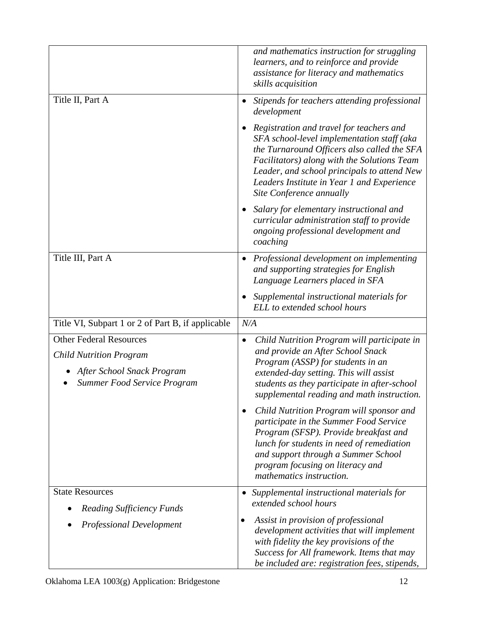|                                                                                                                               | and mathematics instruction for struggling<br>learners, and to reinforce and provide<br>assistance for literacy and mathematics<br>skills acquisition                                                                                                                                                         |
|-------------------------------------------------------------------------------------------------------------------------------|---------------------------------------------------------------------------------------------------------------------------------------------------------------------------------------------------------------------------------------------------------------------------------------------------------------|
| Title II, Part A                                                                                                              | Stipends for teachers attending professional<br>development                                                                                                                                                                                                                                                   |
|                                                                                                                               | Registration and travel for teachers and<br>SFA school-level implementation staff (aka<br>the Turnaround Officers also called the SFA<br>Facilitators) along with the Solutions Team<br>Leader, and school principals to attend New<br>Leaders Institute in Year 1 and Experience<br>Site Conference annually |
|                                                                                                                               | Salary for elementary instructional and<br>curricular administration staff to provide<br>ongoing professional development and<br>coaching                                                                                                                                                                     |
| Title III, Part A                                                                                                             | • Professional development on implementing<br>and supporting strategies for English<br>Language Learners placed in SFA                                                                                                                                                                                        |
|                                                                                                                               | Supplemental instructional materials for<br>ELL to extended school hours                                                                                                                                                                                                                                      |
| Title VI, Subpart 1 or 2 of Part B, if applicable                                                                             | N/A                                                                                                                                                                                                                                                                                                           |
| <b>Other Federal Resources</b><br><b>Child Nutrition Program</b><br>After School Snack Program<br>Summer Food Service Program | Child Nutrition Program will participate in<br>٠<br>and provide an After School Snack<br>Program (ASSP) for students in an<br>extended-day setting. This will assist<br>students as they participate in after-school<br>supplemental reading and math instruction.                                            |
|                                                                                                                               | Child Nutrition Program will sponsor and<br>participate in the Summer Food Service<br>Program (SFSP). Provide breakfast and<br>lunch for students in need of remediation<br>and support through a Summer School<br>program focusing on literacy and<br>mathematics instruction.                               |
| <b>State Resources</b>                                                                                                        | Supplemental instructional materials for                                                                                                                                                                                                                                                                      |
| <b>Reading Sufficiency Funds</b>                                                                                              | extended school hours                                                                                                                                                                                                                                                                                         |
| <b>Professional Development</b>                                                                                               | Assist in provision of professional<br>$\bullet$<br>development activities that will implement<br>with fidelity the key provisions of the<br>Success for All framework. Items that may<br>be included are: registration fees, stipends,                                                                       |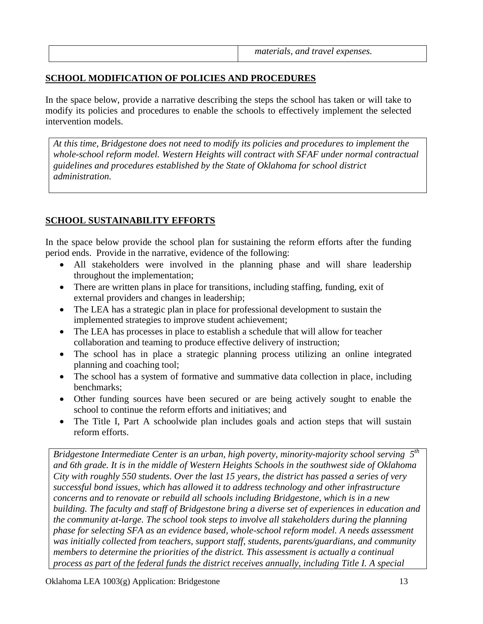### **SCHOOL MODIFICATION OF POLICIES AND PROCEDURES**

In the space below, provide a narrative describing the steps the school has taken or will take to modify its policies and procedures to enable the schools to effectively implement the selected intervention models.

*At this time, Bridgestone does not need to modify its policies and procedures to implement the whole-school reform model. Western Heights will contract with SFAF under normal contractual guidelines and procedures established by the State of Oklahoma for school district administration.*

### **SCHOOL SUSTAINABILITY EFFORTS**

In the space below provide the school plan for sustaining the reform efforts after the funding period ends. Provide in the narrative, evidence of the following:

- All stakeholders were involved in the planning phase and will share leadership throughout the implementation;
- There are written plans in place for transitions, including staffing, funding, exit of external providers and changes in leadership;
- The LEA has a strategic plan in place for professional development to sustain the implemented strategies to improve student achievement;
- The LEA has processes in place to establish a schedule that will allow for teacher collaboration and teaming to produce effective delivery of instruction;
- The school has in place a strategic planning process utilizing an online integrated planning and coaching tool;
- The school has a system of formative and summative data collection in place, including benchmarks;
- Other funding sources have been secured or are being actively sought to enable the school to continue the reform efforts and initiatives; and
- The Title I, Part A schoolwide plan includes goals and action steps that will sustain reform efforts.

*Bridgestone Intermediate Center is an urban, high poverty, minority-majority school serving 5 th and 6th grade. It is in the middle of Western Heights Schools in the southwest side of Oklahoma City with roughly 550 students. Over the last 15 years, the district has passed a series of very successful bond issues, which has allowed it to address technology and other infrastructure concerns and to renovate or rebuild all schools including Bridgestone, which is in a new building. The faculty and staff of Bridgestone bring a diverse set of experiences in education and the community at-large. The school took steps to involve all stakeholders during the planning phase for selecting SFA as an evidence based, whole-school reform model. A needs assessment was initially collected from teachers, support staff, students, parents/guardians, and community members to determine the priorities of the district. This assessment is actually a continual process as part of the federal funds the district receives annually, including Title I. A special*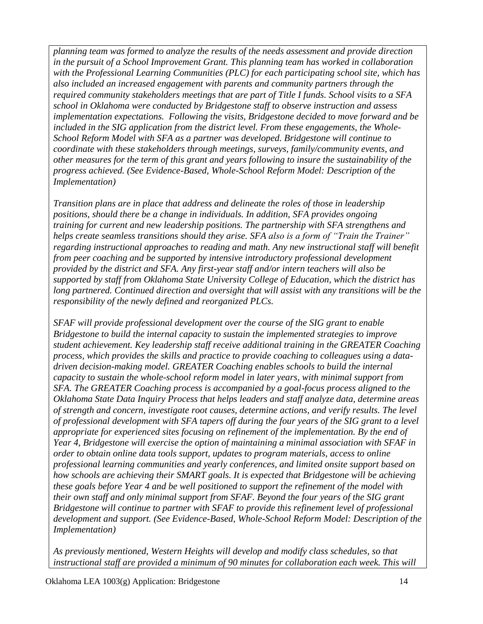*planning team was formed to analyze the results of the needs assessment and provide direction in the pursuit of a School Improvement Grant. This planning team has worked in collaboration with the Professional Learning Communities (PLC) for each participating school site, which has also included an increased engagement with parents and community partners through the required community stakeholders meetings that are part of Title I funds. School visits to a SFA school in Oklahoma were conducted by Bridgestone staff to observe instruction and assess implementation expectations. Following the visits, Bridgestone decided to move forward and be included in the SIG application from the district level. From these engagements, the Whole-School Reform Model with SFA as a partner was developed. Bridgestone will continue to coordinate with these stakeholders through meetings, surveys, family/community events, and other measures for the term of this grant and years following to insure the sustainability of the progress achieved. (See Evidence-Based, Whole-School Reform Model: Description of the Implementation)* 

*Transition plans are in place that address and delineate the roles of those in leadership positions, should there be a change in individuals. In addition, SFA provides ongoing training for current and new leadership positions. The partnership with SFA strengthens and helps create seamless transitions should they arise. SFA also is a form of "Train the Trainer" regarding instructional approaches to reading and math. Any new instructional staff will benefit from peer coaching and be supported by intensive introductory professional development provided by the district and SFA. Any first-year staff and/or intern teachers will also be supported by staff from Oklahoma State University College of Education, which the district has long partnered. Continued direction and oversight that will assist with any transitions will be the responsibility of the newly defined and reorganized PLCs.*

*SFAF will provide professional development over the course of the SIG grant to enable Bridgestone to build the internal capacity to sustain the implemented strategies to improve student achievement. Key leadership staff receive additional training in the GREATER Coaching process, which provides the skills and practice to provide coaching to colleagues using a datadriven decision-making model. GREATER Coaching enables schools to build the internal capacity to sustain the whole-school reform model in later years, with minimal support from SFA. The GREATER Coaching process is accompanied by a goal-focus process aligned to the Oklahoma State Data Inquiry Process that helps leaders and staff analyze data, determine areas of strength and concern, investigate root causes, determine actions, and verify results. The level of professional development with SFA tapers off during the four years of the SIG grant to a level appropriate for experienced sites focusing on refinement of the implementation. By the end of Year 4, Bridgestone will exercise the option of maintaining a minimal association with SFAF in order to obtain online data tools support, updates to program materials, access to online professional learning communities and yearly conferences, and limited onsite support based on how schools are achieving their SMART goals. It is expected that Bridgestone will be achieving these goals before Year 4 and be well positioned to support the refinement of the model with their own staff and only minimal support from SFAF. Beyond the four years of the SIG grant Bridgestone will continue to partner with SFAF to provide this refinement level of professional development and support. (See Evidence-Based, Whole-School Reform Model: Description of the Implementation)* 

*As previously mentioned, Western Heights will develop and modify class schedules, so that instructional staff are provided a minimum of 90 minutes for collaboration each week. This will*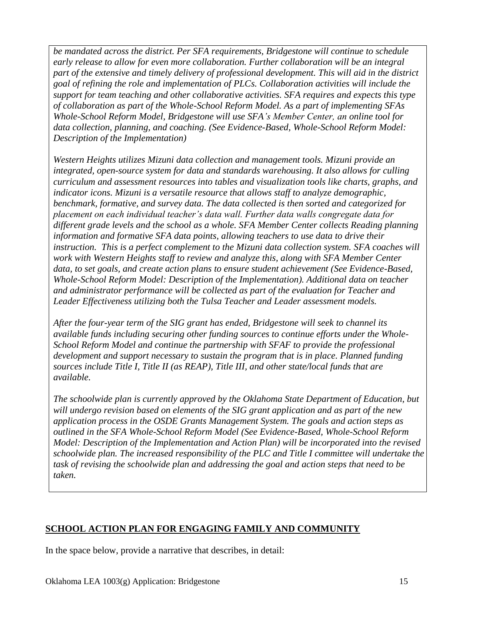*be mandated across the district. Per SFA requirements, Bridgestone will continue to schedule early release to allow for even more collaboration. Further collaboration will be an integral part of the extensive and timely delivery of professional development. This will aid in the district goal of refining the role and implementation of PLCs. Collaboration activities will include the support for team teaching and other collaborative activities. SFA requires and expects this type of collaboration as part of the Whole-School Reform Model. As a part of implementing SFAs Whole-School Reform Model, Bridgestone will use SFA's Member Center, an online tool for data collection, planning, and coaching. (See Evidence-Based, Whole-School Reform Model: Description of the Implementation)*

*Western Heights utilizes Mizuni data collection and management tools. Mizuni provide an integrated, open-source system for data and standards warehousing. It also allows for culling curriculum and assessment resources into tables and visualization tools like charts, graphs, and indicator icons. Mizuni is a versatile resource that allows staff to analyze demographic, benchmark, formative, and survey data. The data collected is then sorted and categorized for placement on each individual teacher's data wall. Further data walls congregate data for different grade levels and the school as a whole. SFA Member Center collects Reading planning information and formative SFA data points, allowing teachers to use data to drive their instruction. This is a perfect complement to the Mizuni data collection system. SFA coaches will work with Western Heights staff to review and analyze this, along with SFA Member Center data, to set goals, and create action plans to ensure student achievement (See Evidence-Based, Whole-School Reform Model: Description of the Implementation). Additional data on teacher and administrator performance will be collected as part of the evaluation for Teacher and Leader Effectiveness utilizing both the Tulsa Teacher and Leader assessment models.* 

*After the four-year term of the SIG grant has ended, Bridgestone will seek to channel its available funds including securing other funding sources to continue efforts under the Whole-School Reform Model and continue the partnership with SFAF to provide the professional development and support necessary to sustain the program that is in place. Planned funding sources include Title I, Title II (as REAP), Title III, and other state/local funds that are available.* 

*The schoolwide plan is currently approved by the Oklahoma State Department of Education, but will undergo revision based on elements of the SIG grant application and as part of the new application process in the OSDE Grants Management System. The goals and action steps as outlined in the SFA Whole-School Reform Model (See Evidence-Based, Whole-School Reform Model: Description of the Implementation and Action Plan) will be incorporated into the revised schoolwide plan. The increased responsibility of the PLC and Title I committee will undertake the task of revising the schoolwide plan and addressing the goal and action steps that need to be taken.*

### **SCHOOL ACTION PLAN FOR ENGAGING FAMILY AND COMMUNITY**

In the space below, provide a narrative that describes, in detail: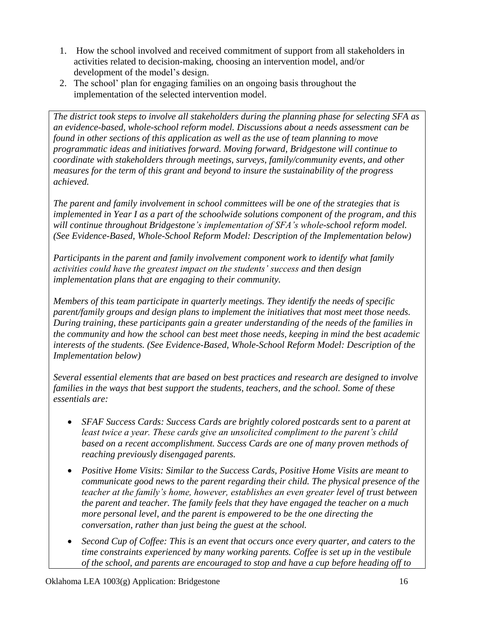- 1. How the school involved and received commitment of support from all stakeholders in activities related to decision-making, choosing an intervention model, and/or development of the model's design.
- 2. The school' plan for engaging families on an ongoing basis throughout the implementation of the selected intervention model.

*The district took steps to involve all stakeholders during the planning phase for selecting SFA as an evidence-based, whole-school reform model. Discussions about a needs assessment can be found in other sections of this application as well as the use of team planning to move programmatic ideas and initiatives forward. Moving forward, Bridgestone will continue to coordinate with stakeholders through meetings, surveys, family/community events, and other measures for the term of this grant and beyond to insure the sustainability of the progress achieved.*

*The parent and family involvement in school committees will be one of the strategies that is implemented in Year I as a part of the schoolwide solutions component of the program, and this will continue throughout Bridgestone's implementation of SFA's whole-school reform model. (See Evidence-Based, Whole-School Reform Model: Description of the Implementation below)*

*Participants in the parent and family involvement component work to identify what family activities could have the greatest impact on the students' success and then design implementation plans that are engaging to their community.*

*Members of this team participate in quarterly meetings. They identify the needs of specific parent/family groups and design plans to implement the initiatives that most meet those needs. During training, these participants gain a greater understanding of the needs of the families in the community and how the school can best meet those needs, keeping in mind the best academic interests of the students. (See Evidence-Based, Whole-School Reform Model: Description of the Implementation below)*

*Several essential elements that are based on best practices and research are designed to involve families in the ways that best support the students, teachers, and the school. Some of these essentials are:*

- SFAF Success Cards: Success Cards are brightly colored postcards sent to a parent at *least twice a year. These cards give an unsolicited compliment to the parent's child based on a recent accomplishment. Success Cards are one of many proven methods of reaching previously disengaged parents.*
- *Positive Home Visits: Similar to the Success Cards, Positive Home Visits are meant to communicate good news to the parent regarding their child. The physical presence of the teacher at the family's home, however, establishes an even greater level of trust between the parent and teacher. The family feels that they have engaged the teacher on a much more personal level, and the parent is empowered to be the one directing the conversation, rather than just being the guest at the school.*
- *Second Cup of Coffee: This is an event that occurs once every quarter, and caters to the time constraints experienced by many working parents. Coffee is set up in the vestibule of the school, and parents are encouraged to stop and have a cup before heading off to*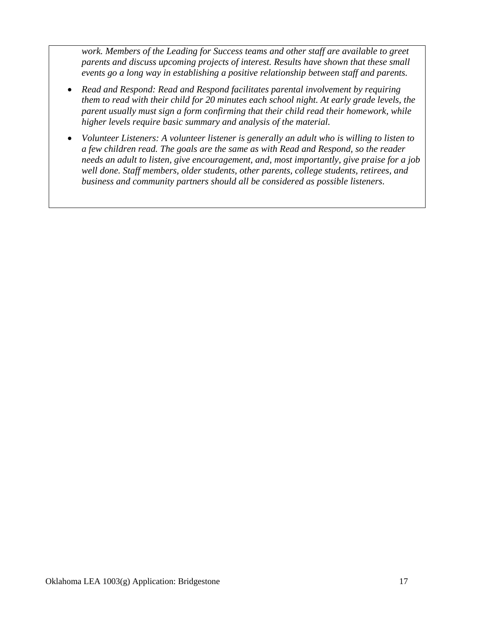*work. Members of the Leading for Success teams and other staff are available to greet parents and discuss upcoming projects of interest. Results have shown that these small events go a long way in establishing a positive relationship between staff and parents.*

- *Read and Respond: Read and Respond facilitates parental involvement by requiring them to read with their child for 20 minutes each school night. At early grade levels, the parent usually must sign a form confirming that their child read their homework, while higher levels require basic summary and analysis of the material.*
- *Volunteer Listeners: A volunteer listener is generally an adult who is willing to listen to a few children read. The goals are the same as with Read and Respond, so the reader needs an adult to listen, give encouragement, and, most importantly, give praise for a job well done. Staff members, older students, other parents, college students, retirees, and business and community partners should all be considered as possible listeners.*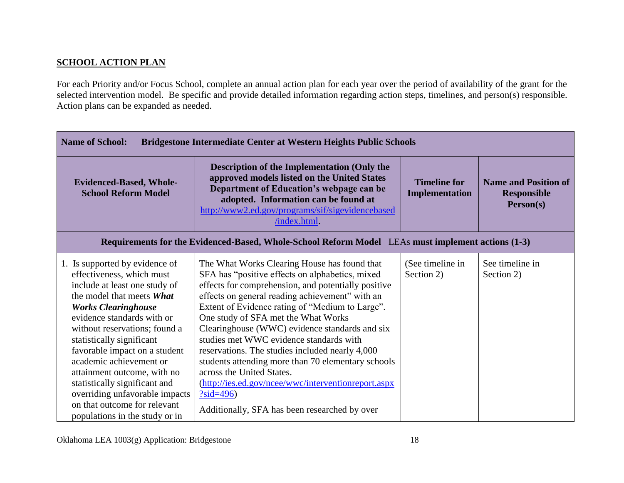### **SCHOOL ACTION PLAN**

For each Priority and/or Focus School, complete an annual action plan for each year over the period of availability of the grant for the selected intervention model. Be specific and provide detailed information regarding action steps, timelines, and person(s) responsible. Action plans can be expanded as needed.

| <b>Name of School:</b><br><b>Bridgestone Intermediate Center at Western Heights Public Schools</b>                                                                                                                                                                                                                                                                                                                                                                                  |                                                                                                                                                                                                                                                                                                                                                                                                                                                                                                                                                                                                                                                               |                                       |                                                                |
|-------------------------------------------------------------------------------------------------------------------------------------------------------------------------------------------------------------------------------------------------------------------------------------------------------------------------------------------------------------------------------------------------------------------------------------------------------------------------------------|---------------------------------------------------------------------------------------------------------------------------------------------------------------------------------------------------------------------------------------------------------------------------------------------------------------------------------------------------------------------------------------------------------------------------------------------------------------------------------------------------------------------------------------------------------------------------------------------------------------------------------------------------------------|---------------------------------------|----------------------------------------------------------------|
| <b>Evidenced-Based, Whole-</b><br><b>School Reform Model</b>                                                                                                                                                                                                                                                                                                                                                                                                                        | <b>Description of the Implementation (Only the</b><br>approved models listed on the United States<br>Department of Education's webpage can be<br>adopted. Information can be found at<br>http://www2.ed.gov/programs/sif/sigevidencebased<br>/index.html.                                                                                                                                                                                                                                                                                                                                                                                                     | <b>Timeline for</b><br>Implementation | <b>Name and Position of</b><br><b>Responsible</b><br>Person(s) |
|                                                                                                                                                                                                                                                                                                                                                                                                                                                                                     | Requirements for the Evidenced-Based, Whole-School Reform Model LEAs must implement actions (1-3)                                                                                                                                                                                                                                                                                                                                                                                                                                                                                                                                                             |                                       |                                                                |
| 1. Is supported by evidence of<br>effectiveness, which must<br>include at least one study of<br>the model that meets What<br><b>Works Clearinghouse</b><br>evidence standards with or<br>without reservations; found a<br>statistically significant<br>favorable impact on a student<br>academic achievement or<br>attainment outcome, with no<br>statistically significant and<br>overriding unfavorable impacts<br>on that outcome for relevant<br>populations in the study or in | The What Works Clearing House has found that<br>SFA has "positive effects on alphabetics, mixed<br>effects for comprehension, and potentially positive<br>effects on general reading achievement" with an<br>Extent of Evidence rating of "Medium to Large".<br>One study of SFA met the What Works<br>Clearinghouse (WWC) evidence standards and six<br>studies met WWC evidence standards with<br>reservations. The studies included nearly 4,000<br>students attending more than 70 elementary schools<br>across the United States.<br>(http://ies.ed.gov/ncee/wwc/interventionreport.aspx<br>$?sid=496)$<br>Additionally, SFA has been researched by over | (See timeline in<br>Section 2)        | See timeline in<br>Section 2)                                  |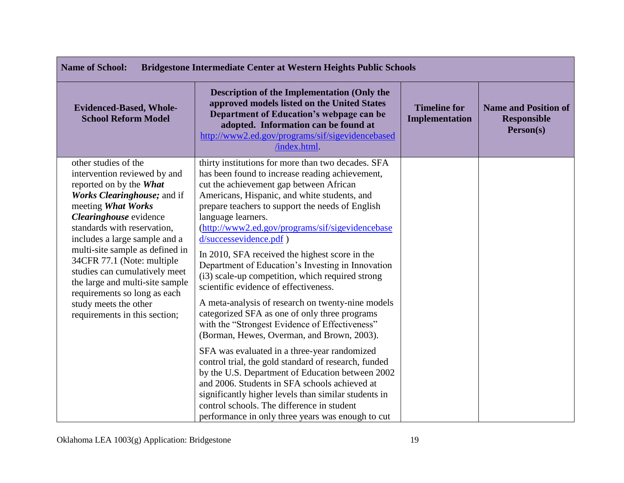| <b>Name of School:</b><br><b>Bridgestone Intermediate Center at Western Heights Public Schools</b>                                                                                                                                                                                                                                                                                                                                                            |                                                                                                                                                                                                                                                                                                                                                                                                                                                                                                                                                                                                                                                                                                                                                                                                                                                                                                                                                                                                                                                                                                                                            |                                       |                                                                |
|---------------------------------------------------------------------------------------------------------------------------------------------------------------------------------------------------------------------------------------------------------------------------------------------------------------------------------------------------------------------------------------------------------------------------------------------------------------|--------------------------------------------------------------------------------------------------------------------------------------------------------------------------------------------------------------------------------------------------------------------------------------------------------------------------------------------------------------------------------------------------------------------------------------------------------------------------------------------------------------------------------------------------------------------------------------------------------------------------------------------------------------------------------------------------------------------------------------------------------------------------------------------------------------------------------------------------------------------------------------------------------------------------------------------------------------------------------------------------------------------------------------------------------------------------------------------------------------------------------------------|---------------------------------------|----------------------------------------------------------------|
| <b>Evidenced-Based, Whole-</b><br><b>School Reform Model</b>                                                                                                                                                                                                                                                                                                                                                                                                  | <b>Description of the Implementation (Only the</b><br>approved models listed on the United States<br>Department of Education's webpage can be<br>adopted. Information can be found at<br>http://www2.ed.gov/programs/sif/sigevidencebased<br>/index.html                                                                                                                                                                                                                                                                                                                                                                                                                                                                                                                                                                                                                                                                                                                                                                                                                                                                                   | <b>Timeline for</b><br>Implementation | <b>Name and Position of</b><br><b>Responsible</b><br>Person(s) |
| other studies of the<br>intervention reviewed by and<br>reported on by the What<br>Works Clearinghouse; and if<br>meeting What Works<br>Clearinghouse evidence<br>standards with reservation,<br>includes a large sample and a<br>multi-site sample as defined in<br>34CFR 77.1 (Note: multiple<br>studies can cumulatively meet<br>the large and multi-site sample<br>requirements so long as each<br>study meets the other<br>requirements in this section; | thirty institutions for more than two decades. SFA<br>has been found to increase reading achievement,<br>cut the achievement gap between African<br>Americans, Hispanic, and white students, and<br>prepare teachers to support the needs of English<br>language learners.<br>(http://www2.ed.gov/programs/sif/sigevidencebase<br>d/successevidence.pdf)<br>In 2010, SFA received the highest score in the<br>Department of Education's Investing in Innovation<br>(i3) scale-up competition, which required strong<br>scientific evidence of effectiveness.<br>A meta-analysis of research on twenty-nine models<br>categorized SFA as one of only three programs<br>with the "Strongest Evidence of Effectiveness"<br>(Borman, Hewes, Overman, and Brown, 2003).<br>SFA was evaluated in a three-year randomized<br>control trial, the gold standard of research, funded<br>by the U.S. Department of Education between 2002<br>and 2006. Students in SFA schools achieved at<br>significantly higher levels than similar students in<br>control schools. The difference in student<br>performance in only three years was enough to cut |                                       |                                                                |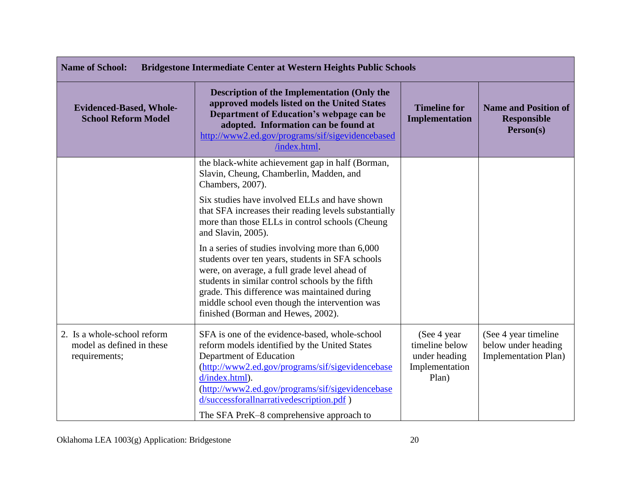| <b>Name of School:</b><br><b>Bridgestone Intermediate Center at Western Heights Public Schools</b> |                                                                                                                                                                                                                                                                                                                                                   |                                                                            |                                                                            |
|----------------------------------------------------------------------------------------------------|---------------------------------------------------------------------------------------------------------------------------------------------------------------------------------------------------------------------------------------------------------------------------------------------------------------------------------------------------|----------------------------------------------------------------------------|----------------------------------------------------------------------------|
| <b>Evidenced-Based, Whole-</b><br><b>School Reform Model</b>                                       | <b>Description of the Implementation (Only the</b><br>approved models listed on the United States<br>Department of Education's webpage can be<br>adopted. Information can be found at<br>http://www2.ed.gov/programs/sif/sigevidencebased<br>/index.html.                                                                                         | <b>Timeline for</b><br><b>Implementation</b>                               | <b>Name and Position of</b><br><b>Responsible</b><br>Person(s)             |
|                                                                                                    | the black-white achievement gap in half (Borman,<br>Slavin, Cheung, Chamberlin, Madden, and<br>Chambers, 2007).                                                                                                                                                                                                                                   |                                                                            |                                                                            |
|                                                                                                    | Six studies have involved ELLs and have shown<br>that SFA increases their reading levels substantially<br>more than those ELLs in control schools (Cheung<br>and Slavin, 2005).                                                                                                                                                                   |                                                                            |                                                                            |
|                                                                                                    | In a series of studies involving more than 6,000<br>students over ten years, students in SFA schools<br>were, on average, a full grade level ahead of<br>students in similar control schools by the fifth<br>grade. This difference was maintained during<br>middle school even though the intervention was<br>finished (Borman and Hewes, 2002). |                                                                            |                                                                            |
| 2. Is a whole-school reform<br>model as defined in these<br>requirements;                          | SFA is one of the evidence-based, whole-school<br>reform models identified by the United States<br>Department of Education<br>(http://www2.ed.gov/programs/sif/sigevidencebase<br>d/index.html).<br>(http://www2.ed.gov/programs/sif/sigevidencebase<br>d/successforallnarrativedescription.pdf)<br>The SFA PreK-8 comprehensive approach to      | (See 4 year)<br>timeline below<br>under heading<br>Implementation<br>Plan) | (See 4 year timeline<br>below under heading<br><b>Implementation Plan)</b> |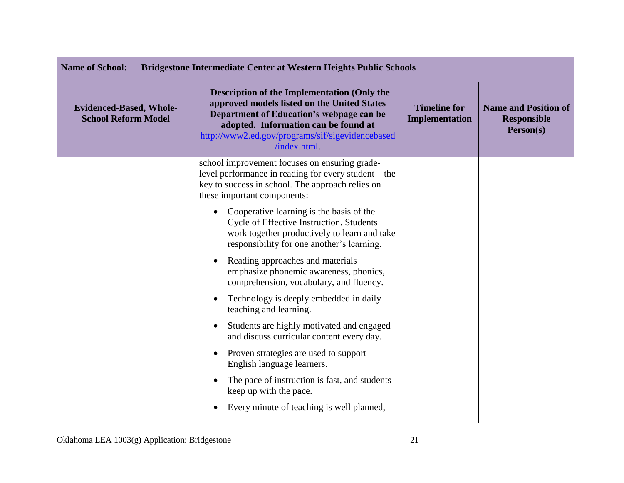| <b>Name of School:</b><br><b>Bridgestone Intermediate Center at Western Heights Public Schools</b> |                                                                                                                                                                                                                                                          |                                              |                                                                |
|----------------------------------------------------------------------------------------------------|----------------------------------------------------------------------------------------------------------------------------------------------------------------------------------------------------------------------------------------------------------|----------------------------------------------|----------------------------------------------------------------|
| <b>Evidenced-Based, Whole-</b><br><b>School Reform Model</b>                                       | <b>Description of the Implementation (Only the</b><br>approved models listed on the United States<br>Department of Education's webpage can be<br>adopted. Information can be found at<br>http://www2.ed.gov/programs/sif/sigevidencebased<br>/index.html | <b>Timeline for</b><br><b>Implementation</b> | <b>Name and Position of</b><br><b>Responsible</b><br>Person(s) |
|                                                                                                    | school improvement focuses on ensuring grade-<br>level performance in reading for every student—the<br>key to success in school. The approach relies on<br>these important components:                                                                   |                                              |                                                                |
|                                                                                                    | Cooperative learning is the basis of the<br>Cycle of Effective Instruction. Students<br>work together productively to learn and take<br>responsibility for one another's learning.                                                                       |                                              |                                                                |
|                                                                                                    | Reading approaches and materials<br>emphasize phonemic awareness, phonics,<br>comprehension, vocabulary, and fluency.                                                                                                                                    |                                              |                                                                |
|                                                                                                    | Technology is deeply embedded in daily<br>$\bullet$<br>teaching and learning.                                                                                                                                                                            |                                              |                                                                |
|                                                                                                    | Students are highly motivated and engaged<br>$\bullet$<br>and discuss curricular content every day.                                                                                                                                                      |                                              |                                                                |
|                                                                                                    | Proven strategies are used to support<br>$\bullet$<br>English language learners.                                                                                                                                                                         |                                              |                                                                |
|                                                                                                    | The pace of instruction is fast, and students<br>keep up with the pace.                                                                                                                                                                                  |                                              |                                                                |
|                                                                                                    | Every minute of teaching is well planned,                                                                                                                                                                                                                |                                              |                                                                |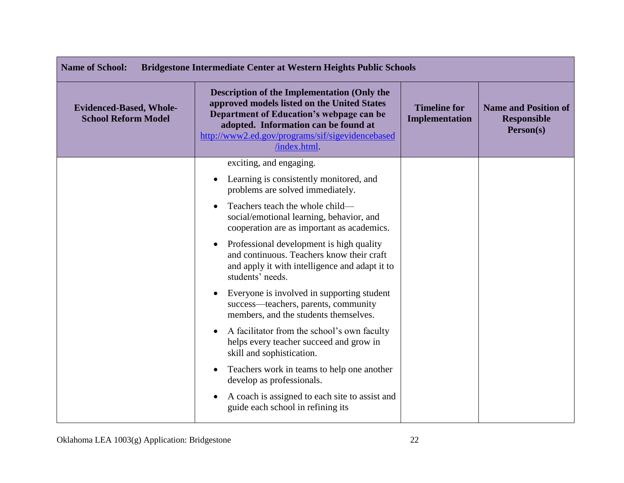| <b>Name of School:</b><br><b>Bridgestone Intermediate Center at Western Heights Public Schools</b> |                                                                                                                                                                                                                                                          |                                       |                                                                |
|----------------------------------------------------------------------------------------------------|----------------------------------------------------------------------------------------------------------------------------------------------------------------------------------------------------------------------------------------------------------|---------------------------------------|----------------------------------------------------------------|
| <b>Evidenced-Based, Whole-</b><br><b>School Reform Model</b>                                       | <b>Description of the Implementation (Only the</b><br>approved models listed on the United States<br>Department of Education's webpage can be<br>adopted. Information can be found at<br>http://www2.ed.gov/programs/sif/sigevidencebased<br>/index.html | <b>Timeline for</b><br>Implementation | <b>Name and Position of</b><br><b>Responsible</b><br>Person(s) |
|                                                                                                    | exciting, and engaging.                                                                                                                                                                                                                                  |                                       |                                                                |
|                                                                                                    | Learning is consistently monitored, and<br>$\bullet$<br>problems are solved immediately.                                                                                                                                                                 |                                       |                                                                |
|                                                                                                    | Teachers teach the whole child—<br>social/emotional learning, behavior, and<br>cooperation are as important as academics.                                                                                                                                |                                       |                                                                |
|                                                                                                    | Professional development is high quality<br>$\bullet$<br>and continuous. Teachers know their craft<br>and apply it with intelligence and adapt it to<br>students' needs.                                                                                 |                                       |                                                                |
|                                                                                                    | Everyone is involved in supporting student<br>success-teachers, parents, community<br>members, and the students themselves.                                                                                                                              |                                       |                                                                |
|                                                                                                    | A facilitator from the school's own faculty<br>helps every teacher succeed and grow in<br>skill and sophistication.                                                                                                                                      |                                       |                                                                |
|                                                                                                    | Teachers work in teams to help one another<br>develop as professionals.                                                                                                                                                                                  |                                       |                                                                |
|                                                                                                    | A coach is assigned to each site to assist and<br>guide each school in refining its                                                                                                                                                                      |                                       |                                                                |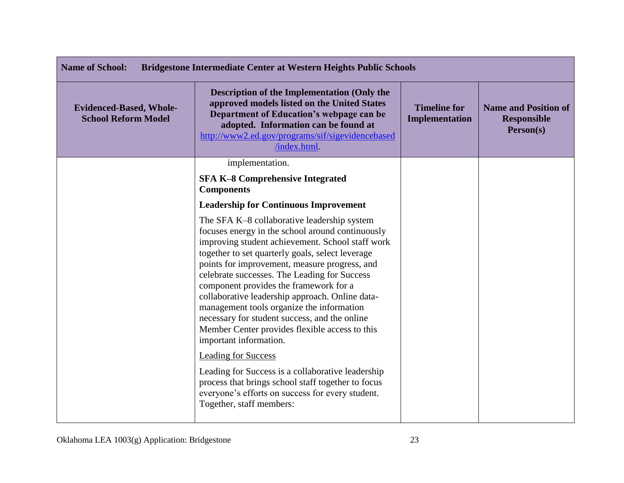| <b>Name of School:</b><br><b>Bridgestone Intermediate Center at Western Heights Public Schools</b> |                                                                                                                                                                                                                                                                                                                                                                                                                                                                                                                                                                                                               |                                       |                                                                |
|----------------------------------------------------------------------------------------------------|---------------------------------------------------------------------------------------------------------------------------------------------------------------------------------------------------------------------------------------------------------------------------------------------------------------------------------------------------------------------------------------------------------------------------------------------------------------------------------------------------------------------------------------------------------------------------------------------------------------|---------------------------------------|----------------------------------------------------------------|
| <b>Evidenced-Based, Whole-</b><br><b>School Reform Model</b>                                       | <b>Description of the Implementation (Only the</b><br>approved models listed on the United States<br>Department of Education's webpage can be<br>adopted. Information can be found at<br>http://www2.ed.gov/programs/sif/sigevidencebased<br>/index.html.                                                                                                                                                                                                                                                                                                                                                     | <b>Timeline for</b><br>Implementation | <b>Name and Position of</b><br><b>Responsible</b><br>Person(s) |
|                                                                                                    | implementation.                                                                                                                                                                                                                                                                                                                                                                                                                                                                                                                                                                                               |                                       |                                                                |
|                                                                                                    | <b>SFA K-8 Comprehensive Integrated</b><br><b>Components</b>                                                                                                                                                                                                                                                                                                                                                                                                                                                                                                                                                  |                                       |                                                                |
|                                                                                                    | <b>Leadership for Continuous Improvement</b>                                                                                                                                                                                                                                                                                                                                                                                                                                                                                                                                                                  |                                       |                                                                |
|                                                                                                    | The SFA K-8 collaborative leadership system<br>focuses energy in the school around continuously<br>improving student achievement. School staff work<br>together to set quarterly goals, select leverage<br>points for improvement, measure progress, and<br>celebrate successes. The Leading for Success<br>component provides the framework for a<br>collaborative leadership approach. Online data-<br>management tools organize the information<br>necessary for student success, and the online<br>Member Center provides flexible access to this<br>important information.<br><b>Leading for Success</b> |                                       |                                                                |
|                                                                                                    | Leading for Success is a collaborative leadership<br>process that brings school staff together to focus<br>everyone's efforts on success for every student.<br>Together, staff members:                                                                                                                                                                                                                                                                                                                                                                                                                       |                                       |                                                                |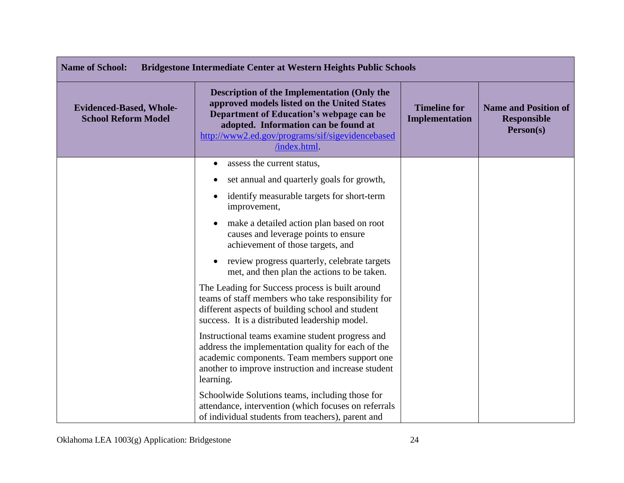| <b>Name of School:</b><br><b>Bridgestone Intermediate Center at Western Heights Public Schools</b> |                                                                                                                                                                                                                                                          |                                              |                                                                |
|----------------------------------------------------------------------------------------------------|----------------------------------------------------------------------------------------------------------------------------------------------------------------------------------------------------------------------------------------------------------|----------------------------------------------|----------------------------------------------------------------|
| <b>Evidenced-Based, Whole-</b><br><b>School Reform Model</b>                                       | <b>Description of the Implementation (Only the</b><br>approved models listed on the United States<br>Department of Education's webpage can be<br>adopted. Information can be found at<br>http://www2.ed.gov/programs/sif/sigevidencebased<br>/index.html | <b>Timeline for</b><br><b>Implementation</b> | <b>Name and Position of</b><br><b>Responsible</b><br>Person(s) |
|                                                                                                    | assess the current status,<br>$\bullet$                                                                                                                                                                                                                  |                                              |                                                                |
|                                                                                                    | set annual and quarterly goals for growth,                                                                                                                                                                                                               |                                              |                                                                |
|                                                                                                    | identify measurable targets for short-term<br>improvement,                                                                                                                                                                                               |                                              |                                                                |
|                                                                                                    | make a detailed action plan based on root<br>$\bullet$<br>causes and leverage points to ensure<br>achievement of those targets, and                                                                                                                      |                                              |                                                                |
|                                                                                                    | review progress quarterly, celebrate targets<br>met, and then plan the actions to be taken.                                                                                                                                                              |                                              |                                                                |
|                                                                                                    | The Leading for Success process is built around<br>teams of staff members who take responsibility for<br>different aspects of building school and student<br>success. It is a distributed leadership model.                                              |                                              |                                                                |
|                                                                                                    | Instructional teams examine student progress and<br>address the implementation quality for each of the<br>academic components. Team members support one<br>another to improve instruction and increase student<br>learning.                              |                                              |                                                                |
|                                                                                                    | Schoolwide Solutions teams, including those for<br>attendance, intervention (which focuses on referrals<br>of individual students from teachers), parent and                                                                                             |                                              |                                                                |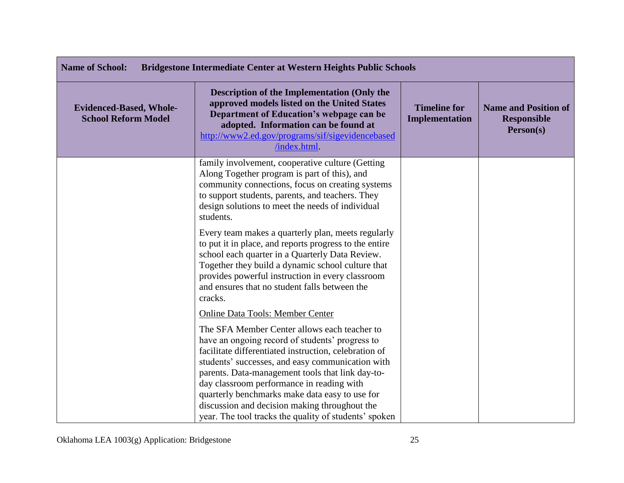| <b>Name of School:</b><br><b>Bridgestone Intermediate Center at Western Heights Public Schools</b> |                                                                                                                                                                                                                                                                                                                                                                                                                                                                           |                                              |                                                                |
|----------------------------------------------------------------------------------------------------|---------------------------------------------------------------------------------------------------------------------------------------------------------------------------------------------------------------------------------------------------------------------------------------------------------------------------------------------------------------------------------------------------------------------------------------------------------------------------|----------------------------------------------|----------------------------------------------------------------|
| <b>Evidenced-Based, Whole-</b><br><b>School Reform Model</b>                                       | <b>Description of the Implementation (Only the</b><br>approved models listed on the United States<br>Department of Education's webpage can be<br>adopted. Information can be found at<br>http://www2.ed.gov/programs/sif/sigevidencebased<br>/index.html.                                                                                                                                                                                                                 | <b>Timeline for</b><br><b>Implementation</b> | <b>Name and Position of</b><br><b>Responsible</b><br>Person(s) |
|                                                                                                    | family involvement, cooperative culture (Getting<br>Along Together program is part of this), and<br>community connections, focus on creating systems<br>to support students, parents, and teachers. They<br>design solutions to meet the needs of individual<br>students.                                                                                                                                                                                                 |                                              |                                                                |
|                                                                                                    | Every team makes a quarterly plan, meets regularly<br>to put it in place, and reports progress to the entire<br>school each quarter in a Quarterly Data Review.<br>Together they build a dynamic school culture that<br>provides powerful instruction in every classroom<br>and ensures that no student falls between the<br>cracks.                                                                                                                                      |                                              |                                                                |
|                                                                                                    | <b>Online Data Tools: Member Center</b>                                                                                                                                                                                                                                                                                                                                                                                                                                   |                                              |                                                                |
|                                                                                                    | The SFA Member Center allows each teacher to<br>have an ongoing record of students' progress to<br>facilitate differentiated instruction, celebration of<br>students' successes, and easy communication with<br>parents. Data-management tools that link day-to-<br>day classroom performance in reading with<br>quarterly benchmarks make data easy to use for<br>discussion and decision making throughout the<br>year. The tool tracks the quality of students' spoken |                                              |                                                                |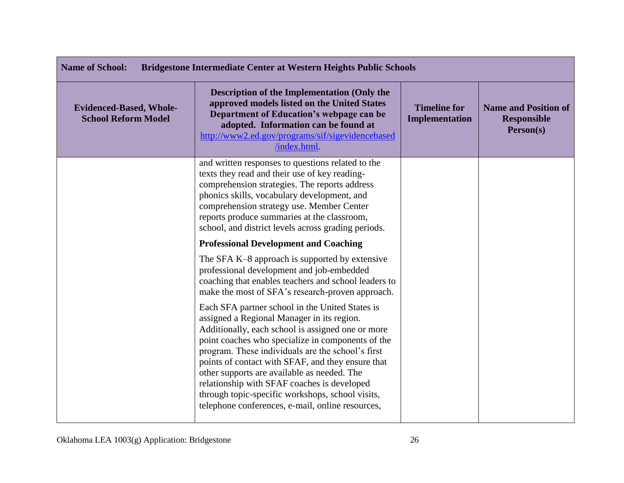| <b>Name of School:</b><br>Bridgestone Intermediate Center at Western Heights Public Schools |                                                                                                                                                                                                                                                                                                                                                                                                                                                                                                                         |                                       |                                                                |
|---------------------------------------------------------------------------------------------|-------------------------------------------------------------------------------------------------------------------------------------------------------------------------------------------------------------------------------------------------------------------------------------------------------------------------------------------------------------------------------------------------------------------------------------------------------------------------------------------------------------------------|---------------------------------------|----------------------------------------------------------------|
| <b>Evidenced-Based, Whole-</b><br><b>School Reform Model</b>                                | <b>Description of the Implementation (Only the</b><br>approved models listed on the United States<br>Department of Education's webpage can be<br>adopted. Information can be found at<br>http://www2.ed.gov/programs/sif/sigevidencebased<br>/index.html.                                                                                                                                                                                                                                                               | <b>Timeline for</b><br>Implementation | <b>Name and Position of</b><br><b>Responsible</b><br>Person(s) |
|                                                                                             | and written responses to questions related to the<br>texts they read and their use of key reading-<br>comprehension strategies. The reports address<br>phonics skills, vocabulary development, and<br>comprehension strategy use. Member Center<br>reports produce summaries at the classroom,<br>school, and district levels across grading periods.                                                                                                                                                                   |                                       |                                                                |
|                                                                                             | <b>Professional Development and Coaching</b>                                                                                                                                                                                                                                                                                                                                                                                                                                                                            |                                       |                                                                |
|                                                                                             | The SFA K-8 approach is supported by extensive<br>professional development and job-embedded<br>coaching that enables teachers and school leaders to<br>make the most of SFA's research-proven approach.                                                                                                                                                                                                                                                                                                                 |                                       |                                                                |
|                                                                                             | Each SFA partner school in the United States is<br>assigned a Regional Manager in its region.<br>Additionally, each school is assigned one or more<br>point coaches who specialize in components of the<br>program. These individuals are the school's first<br>points of contact with SFAF, and they ensure that<br>other supports are available as needed. The<br>relationship with SFAF coaches is developed<br>through topic-specific workshops, school visits,<br>telephone conferences, e-mail, online resources, |                                       |                                                                |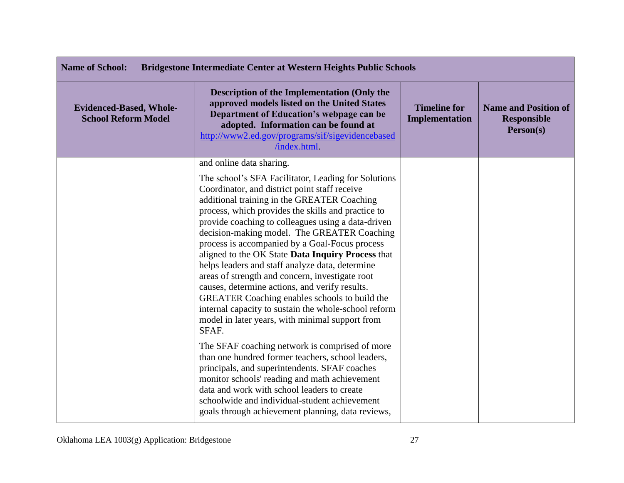| <b>Name of School:</b><br><b>Bridgestone Intermediate Center at Western Heights Public Schools</b> |                                                                                                                                                                                                                                                                                                                                                                                                                                                                                                                                                                                                                                                                                                                                                                                                                                                                                                                                                                                                                                                                                                                                              |                                       |                                                                |
|----------------------------------------------------------------------------------------------------|----------------------------------------------------------------------------------------------------------------------------------------------------------------------------------------------------------------------------------------------------------------------------------------------------------------------------------------------------------------------------------------------------------------------------------------------------------------------------------------------------------------------------------------------------------------------------------------------------------------------------------------------------------------------------------------------------------------------------------------------------------------------------------------------------------------------------------------------------------------------------------------------------------------------------------------------------------------------------------------------------------------------------------------------------------------------------------------------------------------------------------------------|---------------------------------------|----------------------------------------------------------------|
| <b>Evidenced-Based, Whole-</b><br><b>School Reform Model</b>                                       | <b>Description of the Implementation (Only the</b><br>approved models listed on the United States<br>Department of Education's webpage can be<br>adopted. Information can be found at<br>http://www2.ed.gov/programs/sif/sigevidencebased<br>/index.html.                                                                                                                                                                                                                                                                                                                                                                                                                                                                                                                                                                                                                                                                                                                                                                                                                                                                                    | <b>Timeline for</b><br>Implementation | <b>Name and Position of</b><br><b>Responsible</b><br>Person(s) |
|                                                                                                    | and online data sharing.<br>The school's SFA Facilitator, Leading for Solutions<br>Coordinator, and district point staff receive<br>additional training in the GREATER Coaching<br>process, which provides the skills and practice to<br>provide coaching to colleagues using a data-driven<br>decision-making model. The GREATER Coaching<br>process is accompanied by a Goal-Focus process<br>aligned to the OK State Data Inquiry Process that<br>helps leaders and staff analyze data, determine<br>areas of strength and concern, investigate root<br>causes, determine actions, and verify results.<br>GREATER Coaching enables schools to build the<br>internal capacity to sustain the whole-school reform<br>model in later years, with minimal support from<br>SFAF.<br>The SFAF coaching network is comprised of more<br>than one hundred former teachers, school leaders,<br>principals, and superintendents. SFAF coaches<br>monitor schools' reading and math achievement<br>data and work with school leaders to create<br>schoolwide and individual-student achievement<br>goals through achievement planning, data reviews, |                                       |                                                                |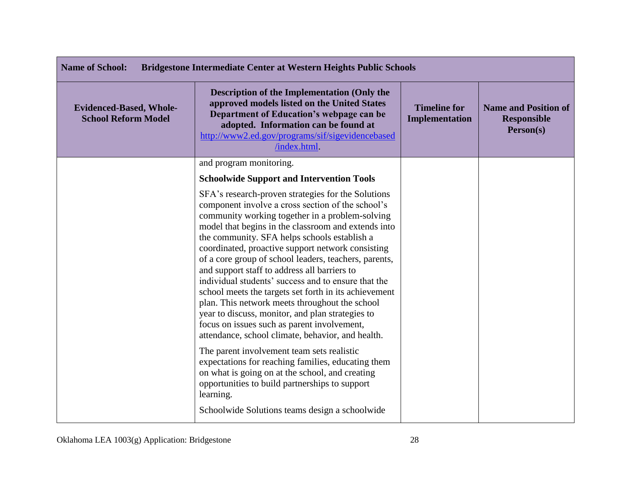| <b>Name of School:</b><br><b>Bridgestone Intermediate Center at Western Heights Public Schools</b> |                                                                                                                                                                                                                                                                                                                                                                                                                                                                                                                                                                                                                                                                                                                                                           |                                       |                                                                |
|----------------------------------------------------------------------------------------------------|-----------------------------------------------------------------------------------------------------------------------------------------------------------------------------------------------------------------------------------------------------------------------------------------------------------------------------------------------------------------------------------------------------------------------------------------------------------------------------------------------------------------------------------------------------------------------------------------------------------------------------------------------------------------------------------------------------------------------------------------------------------|---------------------------------------|----------------------------------------------------------------|
| <b>Evidenced-Based, Whole-</b><br><b>School Reform Model</b>                                       | <b>Description of the Implementation (Only the</b><br>approved models listed on the United States<br>Department of Education's webpage can be<br>adopted. Information can be found at<br>http://www2.ed.gov/programs/sif/sigevidencebased<br>/index.html.                                                                                                                                                                                                                                                                                                                                                                                                                                                                                                 | <b>Timeline for</b><br>Implementation | <b>Name and Position of</b><br><b>Responsible</b><br>Person(s) |
|                                                                                                    | and program monitoring.                                                                                                                                                                                                                                                                                                                                                                                                                                                                                                                                                                                                                                                                                                                                   |                                       |                                                                |
|                                                                                                    | <b>Schoolwide Support and Intervention Tools</b>                                                                                                                                                                                                                                                                                                                                                                                                                                                                                                                                                                                                                                                                                                          |                                       |                                                                |
|                                                                                                    | SFA's research-proven strategies for the Solutions<br>component involve a cross section of the school's<br>community working together in a problem-solving<br>model that begins in the classroom and extends into<br>the community. SFA helps schools establish a<br>coordinated, proactive support network consisting<br>of a core group of school leaders, teachers, parents,<br>and support staff to address all barriers to<br>individual students' success and to ensure that the<br>school meets the targets set forth in its achievement<br>plan. This network meets throughout the school<br>year to discuss, monitor, and plan strategies to<br>focus on issues such as parent involvement,<br>attendance, school climate, behavior, and health. |                                       |                                                                |
|                                                                                                    | The parent involvement team sets realistic<br>expectations for reaching families, educating them<br>on what is going on at the school, and creating<br>opportunities to build partnerships to support<br>learning.<br>Schoolwide Solutions teams design a schoolwide                                                                                                                                                                                                                                                                                                                                                                                                                                                                                      |                                       |                                                                |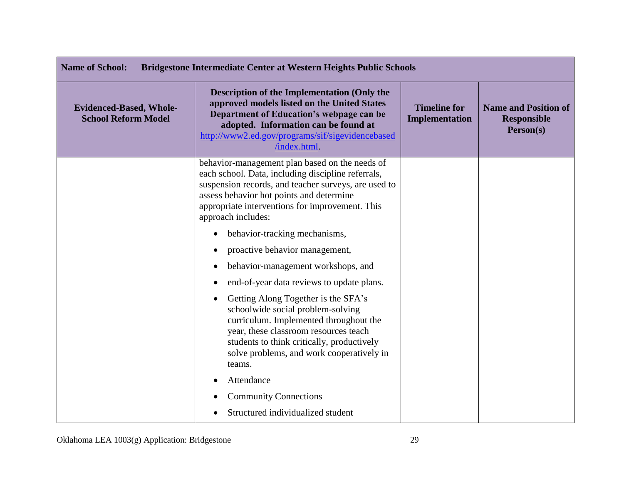| <b>Name of School:</b><br><b>Bridgestone Intermediate Center at Western Heights Public Schools</b> |                                                                                                                                                                                                                                                                                   |                                       |                                                                |
|----------------------------------------------------------------------------------------------------|-----------------------------------------------------------------------------------------------------------------------------------------------------------------------------------------------------------------------------------------------------------------------------------|---------------------------------------|----------------------------------------------------------------|
| <b>Evidenced-Based, Whole-</b><br><b>School Reform Model</b>                                       | <b>Description of the Implementation (Only the</b><br>approved models listed on the United States<br>Department of Education's webpage can be<br>adopted. Information can be found at<br>http://www2.ed.gov/programs/sif/sigevidencebased<br>/index.html                          | <b>Timeline for</b><br>Implementation | <b>Name and Position of</b><br><b>Responsible</b><br>Person(s) |
|                                                                                                    | behavior-management plan based on the needs of<br>each school. Data, including discipline referrals,<br>suspension records, and teacher surveys, are used to<br>assess behavior hot points and determine<br>appropriate interventions for improvement. This<br>approach includes: |                                       |                                                                |
|                                                                                                    | behavior-tracking mechanisms,<br>$\bullet$                                                                                                                                                                                                                                        |                                       |                                                                |
|                                                                                                    | proactive behavior management,                                                                                                                                                                                                                                                    |                                       |                                                                |
|                                                                                                    | behavior-management workshops, and                                                                                                                                                                                                                                                |                                       |                                                                |
|                                                                                                    | end-of-year data reviews to update plans.                                                                                                                                                                                                                                         |                                       |                                                                |
|                                                                                                    | Getting Along Together is the SFA's<br>schoolwide social problem-solving<br>curriculum. Implemented throughout the<br>year, these classroom resources teach<br>students to think critically, productively<br>solve problems, and work cooperatively in<br>teams.                  |                                       |                                                                |
|                                                                                                    | Attendance                                                                                                                                                                                                                                                                        |                                       |                                                                |
|                                                                                                    | <b>Community Connections</b>                                                                                                                                                                                                                                                      |                                       |                                                                |
|                                                                                                    | Structured individualized student                                                                                                                                                                                                                                                 |                                       |                                                                |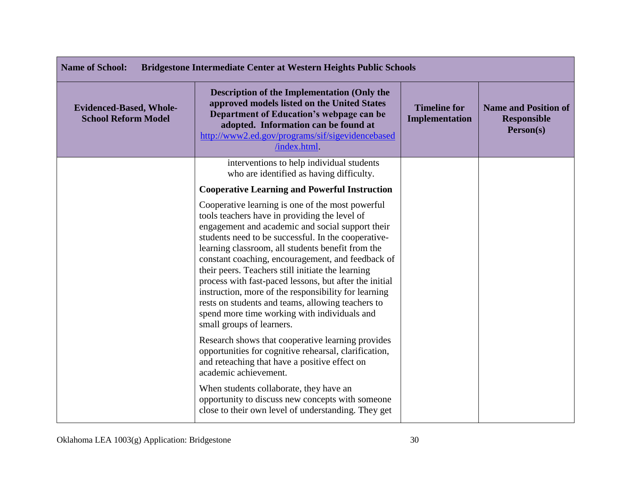| <b>Name of School:</b><br><b>Bridgestone Intermediate Center at Western Heights Public Schools</b> |                                                                                                                                                                                                                                                                                                                                                                                                                                                                                                                                                                                                                                 |                                              |                                                                |
|----------------------------------------------------------------------------------------------------|---------------------------------------------------------------------------------------------------------------------------------------------------------------------------------------------------------------------------------------------------------------------------------------------------------------------------------------------------------------------------------------------------------------------------------------------------------------------------------------------------------------------------------------------------------------------------------------------------------------------------------|----------------------------------------------|----------------------------------------------------------------|
| <b>Evidenced-Based, Whole-</b><br><b>School Reform Model</b>                                       | Description of the Implementation (Only the<br>approved models listed on the United States<br>Department of Education's webpage can be<br>adopted. Information can be found at<br>http://www2.ed.gov/programs/sif/sigevidencebased<br>/index.html.                                                                                                                                                                                                                                                                                                                                                                              | <b>Timeline for</b><br><b>Implementation</b> | <b>Name and Position of</b><br><b>Responsible</b><br>Person(s) |
|                                                                                                    | interventions to help individual students<br>who are identified as having difficulty.                                                                                                                                                                                                                                                                                                                                                                                                                                                                                                                                           |                                              |                                                                |
|                                                                                                    | <b>Cooperative Learning and Powerful Instruction</b>                                                                                                                                                                                                                                                                                                                                                                                                                                                                                                                                                                            |                                              |                                                                |
|                                                                                                    | Cooperative learning is one of the most powerful<br>tools teachers have in providing the level of<br>engagement and academic and social support their<br>students need to be successful. In the cooperative-<br>learning classroom, all students benefit from the<br>constant coaching, encouragement, and feedback of<br>their peers. Teachers still initiate the learning<br>process with fast-paced lessons, but after the initial<br>instruction, more of the responsibility for learning<br>rests on students and teams, allowing teachers to<br>spend more time working with individuals and<br>small groups of learners. |                                              |                                                                |
|                                                                                                    | Research shows that cooperative learning provides<br>opportunities for cognitive rehearsal, clarification,<br>and reteaching that have a positive effect on<br>academic achievement.                                                                                                                                                                                                                                                                                                                                                                                                                                            |                                              |                                                                |
|                                                                                                    | When students collaborate, they have an<br>opportunity to discuss new concepts with someone<br>close to their own level of understanding. They get                                                                                                                                                                                                                                                                                                                                                                                                                                                                              |                                              |                                                                |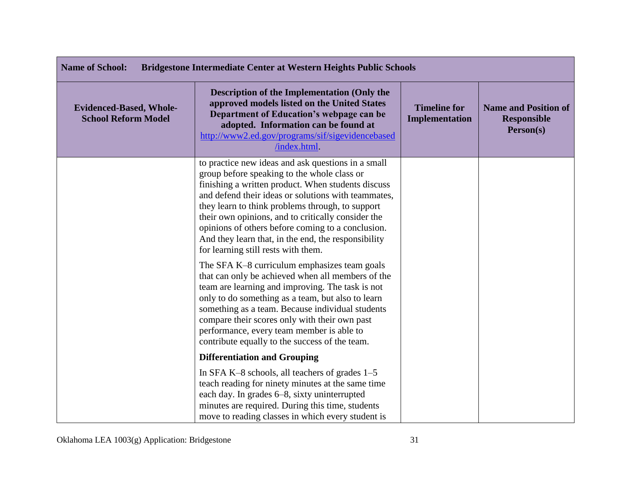| <b>Name of School:</b><br><b>Bridgestone Intermediate Center at Western Heights Public Schools</b> |                                                                                                                                                                                                                                                                                                                                                                                                                                                                             |                                              |                                                                |
|----------------------------------------------------------------------------------------------------|-----------------------------------------------------------------------------------------------------------------------------------------------------------------------------------------------------------------------------------------------------------------------------------------------------------------------------------------------------------------------------------------------------------------------------------------------------------------------------|----------------------------------------------|----------------------------------------------------------------|
| <b>Evidenced-Based, Whole-</b><br><b>School Reform Model</b>                                       | <b>Description of the Implementation (Only the</b><br>approved models listed on the United States<br>Department of Education's webpage can be<br>adopted. Information can be found at<br>http://www2.ed.gov/programs/sif/sigevidencebased<br>/index.html.                                                                                                                                                                                                                   | <b>Timeline for</b><br><b>Implementation</b> | <b>Name and Position of</b><br><b>Responsible</b><br>Person(s) |
|                                                                                                    | to practice new ideas and ask questions in a small<br>group before speaking to the whole class or<br>finishing a written product. When students discuss<br>and defend their ideas or solutions with teammates,<br>they learn to think problems through, to support<br>their own opinions, and to critically consider the<br>opinions of others before coming to a conclusion.<br>And they learn that, in the end, the responsibility<br>for learning still rests with them. |                                              |                                                                |
|                                                                                                    | The SFA K-8 curriculum emphasizes team goals<br>that can only be achieved when all members of the<br>team are learning and improving. The task is not<br>only to do something as a team, but also to learn<br>something as a team. Because individual students<br>compare their scores only with their own past<br>performance, every team member is able to<br>contribute equally to the success of the team.                                                              |                                              |                                                                |
|                                                                                                    | <b>Differentiation and Grouping</b>                                                                                                                                                                                                                                                                                                                                                                                                                                         |                                              |                                                                |
|                                                                                                    | In SFA K-8 schools, all teachers of grades 1-5<br>teach reading for ninety minutes at the same time<br>each day. In grades 6–8, sixty uninterrupted<br>minutes are required. During this time, students<br>move to reading classes in which every student is                                                                                                                                                                                                                |                                              |                                                                |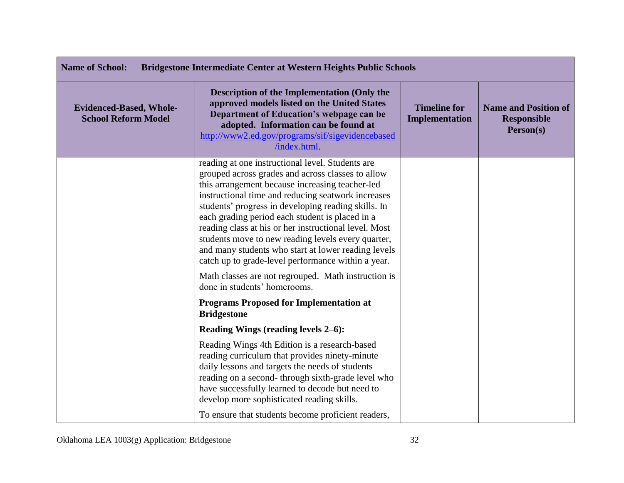| <b>Name of School:</b><br><b>Bridgestone Intermediate Center at Western Heights Public Schools</b> |                                                                                                                                                                                                                                                                                                                                                                                                                                                                                                                                                      |                                       |                                                                |
|----------------------------------------------------------------------------------------------------|------------------------------------------------------------------------------------------------------------------------------------------------------------------------------------------------------------------------------------------------------------------------------------------------------------------------------------------------------------------------------------------------------------------------------------------------------------------------------------------------------------------------------------------------------|---------------------------------------|----------------------------------------------------------------|
| <b>Evidenced-Based, Whole-</b><br><b>School Reform Model</b>                                       | <b>Description of the Implementation (Only the</b><br>approved models listed on the United States<br>Department of Education's webpage can be<br>adopted. Information can be found at<br>http://www2.ed.gov/programs/sif/sigevidencebased<br>/index.html.                                                                                                                                                                                                                                                                                            | <b>Timeline for</b><br>Implementation | <b>Name and Position of</b><br><b>Responsible</b><br>Person(s) |
|                                                                                                    | reading at one instructional level. Students are<br>grouped across grades and across classes to allow<br>this arrangement because increasing teacher-led<br>instructional time and reducing seatwork increases<br>students' progress in developing reading skills. In<br>each grading period each student is placed in a<br>reading class at his or her instructional level. Most<br>students move to new reading levels every quarter,<br>and many students who start at lower reading levels<br>catch up to grade-level performance within a year. |                                       |                                                                |
|                                                                                                    | Math classes are not regrouped. Math instruction is<br>done in students' homerooms.                                                                                                                                                                                                                                                                                                                                                                                                                                                                  |                                       |                                                                |
|                                                                                                    | <b>Programs Proposed for Implementation at</b><br><b>Bridgestone</b>                                                                                                                                                                                                                                                                                                                                                                                                                                                                                 |                                       |                                                                |
|                                                                                                    | Reading Wings (reading levels 2–6):                                                                                                                                                                                                                                                                                                                                                                                                                                                                                                                  |                                       |                                                                |
|                                                                                                    | Reading Wings 4th Edition is a research-based<br>reading curriculum that provides ninety-minute<br>daily lessons and targets the needs of students<br>reading on a second-through sixth-grade level who<br>have successfully learned to decode but need to<br>develop more sophisticated reading skills.                                                                                                                                                                                                                                             |                                       |                                                                |
|                                                                                                    | To ensure that students become proficient readers,                                                                                                                                                                                                                                                                                                                                                                                                                                                                                                   |                                       |                                                                |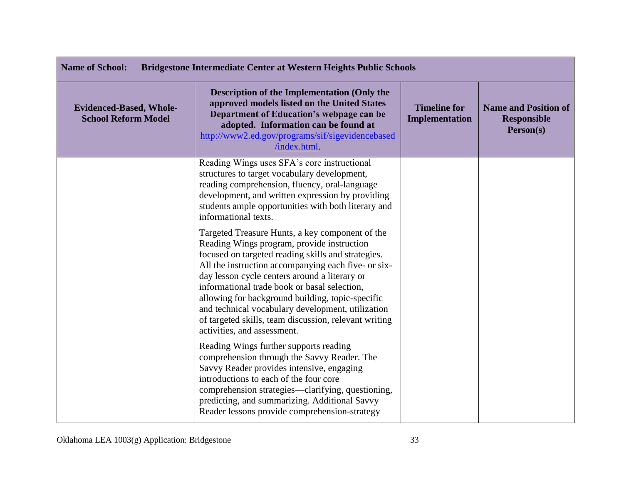| <b>Name of School:</b><br><b>Bridgestone Intermediate Center at Western Heights Public Schools</b> |                                                                                                                                                                                                                                                                                                                                                                                                                                                                                                              |                                       |                                                                |
|----------------------------------------------------------------------------------------------------|--------------------------------------------------------------------------------------------------------------------------------------------------------------------------------------------------------------------------------------------------------------------------------------------------------------------------------------------------------------------------------------------------------------------------------------------------------------------------------------------------------------|---------------------------------------|----------------------------------------------------------------|
| <b>Evidenced-Based, Whole-</b><br><b>School Reform Model</b>                                       | <b>Description of the Implementation (Only the</b><br>approved models listed on the United States<br>Department of Education's webpage can be<br>adopted. Information can be found at<br>http://www2.ed.gov/programs/sif/sigevidencebased<br>/index.html.                                                                                                                                                                                                                                                    | <b>Timeline for</b><br>Implementation | <b>Name and Position of</b><br><b>Responsible</b><br>Person(s) |
|                                                                                                    | Reading Wings uses SFA's core instructional<br>structures to target vocabulary development,<br>reading comprehension, fluency, oral-language<br>development, and written expression by providing<br>students ample opportunities with both literary and<br>informational texts.                                                                                                                                                                                                                              |                                       |                                                                |
|                                                                                                    | Targeted Treasure Hunts, a key component of the<br>Reading Wings program, provide instruction<br>focused on targeted reading skills and strategies.<br>All the instruction accompanying each five- or six-<br>day lesson cycle centers around a literary or<br>informational trade book or basal selection,<br>allowing for background building, topic-specific<br>and technical vocabulary development, utilization<br>of targeted skills, team discussion, relevant writing<br>activities, and assessment. |                                       |                                                                |
|                                                                                                    | Reading Wings further supports reading<br>comprehension through the Savvy Reader. The<br>Savvy Reader provides intensive, engaging<br>introductions to each of the four core<br>comprehension strategies—clarifying, questioning,<br>predicting, and summarizing. Additional Savvy<br>Reader lessons provide comprehension-strategy                                                                                                                                                                          |                                       |                                                                |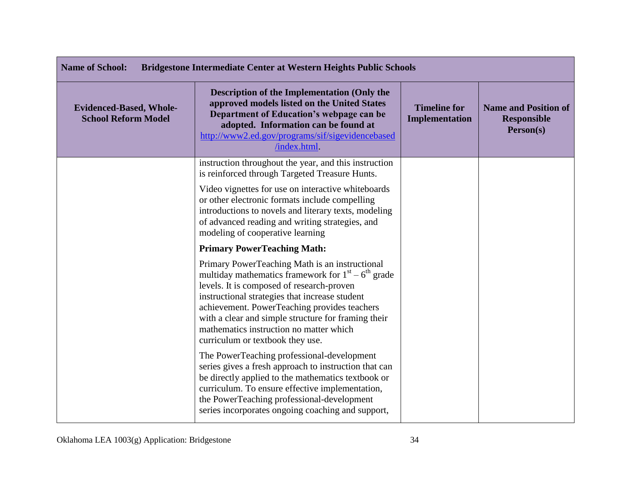| <b>Name of School:</b><br><b>Bridgestone Intermediate Center at Western Heights Public Schools</b> |                                                                                                                                                                                                                                                                                                                                                                                             |                                       |                                                                |
|----------------------------------------------------------------------------------------------------|---------------------------------------------------------------------------------------------------------------------------------------------------------------------------------------------------------------------------------------------------------------------------------------------------------------------------------------------------------------------------------------------|---------------------------------------|----------------------------------------------------------------|
| <b>Evidenced-Based, Whole-</b><br><b>School Reform Model</b>                                       | <b>Description of the Implementation (Only the</b><br>approved models listed on the United States<br>Department of Education's webpage can be<br>adopted. Information can be found at<br>http://www2.ed.gov/programs/sif/sigevidencebased<br>/index.html                                                                                                                                    | <b>Timeline for</b><br>Implementation | <b>Name and Position of</b><br><b>Responsible</b><br>Person(s) |
|                                                                                                    | instruction throughout the year, and this instruction<br>is reinforced through Targeted Treasure Hunts.                                                                                                                                                                                                                                                                                     |                                       |                                                                |
|                                                                                                    | Video vignettes for use on interactive whiteboards<br>or other electronic formats include compelling<br>introductions to novels and literary texts, modeling<br>of advanced reading and writing strategies, and<br>modeling of cooperative learning                                                                                                                                         |                                       |                                                                |
|                                                                                                    | <b>Primary PowerTeaching Math:</b>                                                                                                                                                                                                                                                                                                                                                          |                                       |                                                                |
|                                                                                                    | Primary PowerTeaching Math is an instructional<br>multiday mathematics framework for $1st - 6th$ grade<br>levels. It is composed of research-proven<br>instructional strategies that increase student<br>achievement. PowerTeaching provides teachers<br>with a clear and simple structure for framing their<br>mathematics instruction no matter which<br>curriculum or textbook they use. |                                       |                                                                |
|                                                                                                    | The PowerTeaching professional-development<br>series gives a fresh approach to instruction that can<br>be directly applied to the mathematics textbook or<br>curriculum. To ensure effective implementation,<br>the PowerTeaching professional-development<br>series incorporates ongoing coaching and support,                                                                             |                                       |                                                                |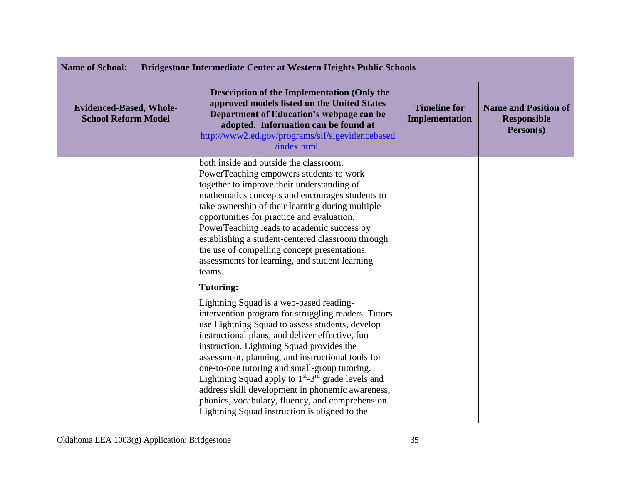| <b>Name of School:</b><br><b>Bridgestone Intermediate Center at Western Heights Public Schools</b> |                                                                                                                                                                                                                                                                                                                                                                                                                                                                                                                                                                                                |                                       |                                                                |
|----------------------------------------------------------------------------------------------------|------------------------------------------------------------------------------------------------------------------------------------------------------------------------------------------------------------------------------------------------------------------------------------------------------------------------------------------------------------------------------------------------------------------------------------------------------------------------------------------------------------------------------------------------------------------------------------------------|---------------------------------------|----------------------------------------------------------------|
| <b>Evidenced-Based, Whole-</b><br><b>School Reform Model</b>                                       | <b>Description of the Implementation (Only the</b><br>approved models listed on the United States<br>Department of Education's webpage can be<br>adopted. Information can be found at<br>http://www2.ed.gov/programs/sif/sigevidencebased<br>/index.html.                                                                                                                                                                                                                                                                                                                                      | <b>Timeline for</b><br>Implementation | <b>Name and Position of</b><br><b>Responsible</b><br>Person(s) |
|                                                                                                    | both inside and outside the classroom.<br>PowerTeaching empowers students to work<br>together to improve their understanding of<br>mathematics concepts and encourages students to<br>take ownership of their learning during multiple<br>opportunities for practice and evaluation.<br>PowerTeaching leads to academic success by<br>establishing a student-centered classroom through<br>the use of compelling concept presentations,<br>assessments for learning, and student learning<br>teams.                                                                                            |                                       |                                                                |
|                                                                                                    | <b>Tutoring:</b>                                                                                                                                                                                                                                                                                                                                                                                                                                                                                                                                                                               |                                       |                                                                |
|                                                                                                    | Lightning Squad is a web-based reading-<br>intervention program for struggling readers. Tutors<br>use Lightning Squad to assess students, develop<br>instructional plans, and deliver effective, fun<br>instruction. Lightning Squad provides the<br>assessment, planning, and instructional tools for<br>one-to-one tutoring and small-group tutoring.<br>Lightning Squad apply to 1 <sup>st</sup> -3 <sup>rd</sup> grade levels and<br>address skill development in phonemic awareness,<br>phonics, vocabulary, fluency, and comprehension.<br>Lightning Squad instruction is aligned to the |                                       |                                                                |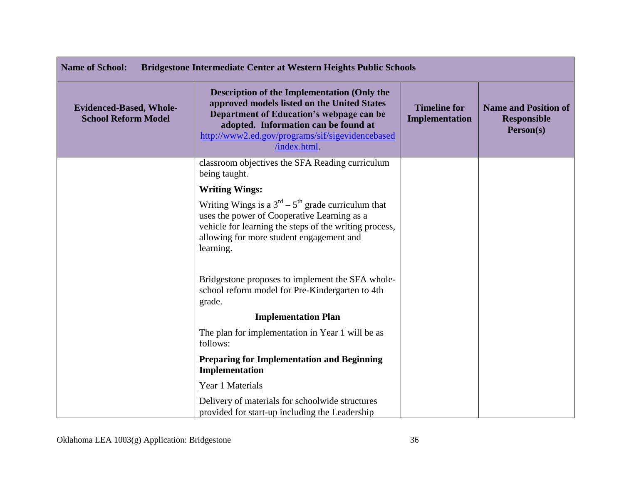| <b>Name of School:</b><br><b>Bridgestone Intermediate Center at Western Heights Public Schools</b> |                                                                                                                                                                                                                                                           |                                              |                                                                |
|----------------------------------------------------------------------------------------------------|-----------------------------------------------------------------------------------------------------------------------------------------------------------------------------------------------------------------------------------------------------------|----------------------------------------------|----------------------------------------------------------------|
| <b>Evidenced-Based, Whole-</b><br><b>School Reform Model</b>                                       | <b>Description of the Implementation (Only the</b><br>approved models listed on the United States<br>Department of Education's webpage can be<br>adopted. Information can be found at<br>http://www2.ed.gov/programs/sif/sigevidencebased<br>/index.html. | <b>Timeline for</b><br><b>Implementation</b> | <b>Name and Position of</b><br><b>Responsible</b><br>Person(s) |
|                                                                                                    | classroom objectives the SFA Reading curriculum<br>being taught.                                                                                                                                                                                          |                                              |                                                                |
|                                                                                                    | <b>Writing Wings:</b>                                                                                                                                                                                                                                     |                                              |                                                                |
|                                                                                                    | Writing Wings is a $3rd - 5th$ grade curriculum that<br>uses the power of Cooperative Learning as a<br>vehicle for learning the steps of the writing process,<br>allowing for more student engagement and<br>learning.                                    |                                              |                                                                |
|                                                                                                    | Bridgestone proposes to implement the SFA whole-<br>school reform model for Pre-Kindergarten to 4th<br>grade.                                                                                                                                             |                                              |                                                                |
|                                                                                                    | <b>Implementation Plan</b>                                                                                                                                                                                                                                |                                              |                                                                |
|                                                                                                    | The plan for implementation in Year 1 will be as<br>follows:                                                                                                                                                                                              |                                              |                                                                |
|                                                                                                    | <b>Preparing for Implementation and Beginning</b><br>Implementation                                                                                                                                                                                       |                                              |                                                                |
|                                                                                                    | Year 1 Materials                                                                                                                                                                                                                                          |                                              |                                                                |
|                                                                                                    | Delivery of materials for schoolwide structures<br>provided for start-up including the Leadership                                                                                                                                                         |                                              |                                                                |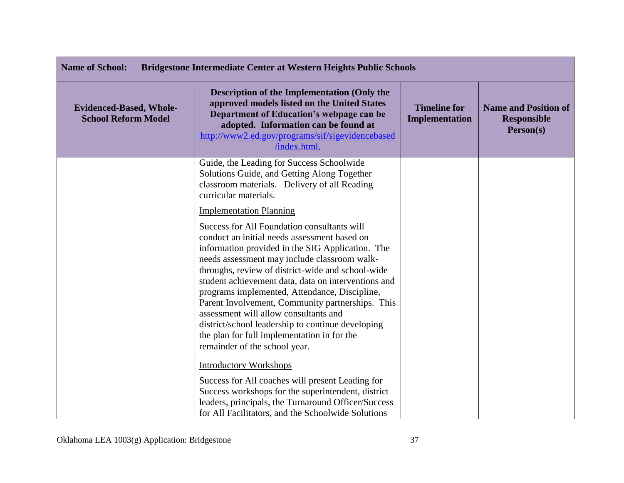| <b>Name of School:</b><br><b>Bridgestone Intermediate Center at Western Heights Public Schools</b> |                                                                                                                                                                                                                                                                                                                                                                                                                                                                                                                                                                                                       |                                       |                                                                |
|----------------------------------------------------------------------------------------------------|-------------------------------------------------------------------------------------------------------------------------------------------------------------------------------------------------------------------------------------------------------------------------------------------------------------------------------------------------------------------------------------------------------------------------------------------------------------------------------------------------------------------------------------------------------------------------------------------------------|---------------------------------------|----------------------------------------------------------------|
| <b>Evidenced-Based, Whole-</b><br><b>School Reform Model</b>                                       | Description of the Implementation (Only the<br>approved models listed on the United States<br>Department of Education's webpage can be<br>adopted. Information can be found at<br>http://www2.ed.gov/programs/sif/sigevidencebased<br>/index.html.                                                                                                                                                                                                                                                                                                                                                    | <b>Timeline for</b><br>Implementation | <b>Name and Position of</b><br><b>Responsible</b><br>Person(s) |
|                                                                                                    | Guide, the Leading for Success Schoolwide<br>Solutions Guide, and Getting Along Together<br>classroom materials. Delivery of all Reading<br>curricular materials.                                                                                                                                                                                                                                                                                                                                                                                                                                     |                                       |                                                                |
|                                                                                                    | <b>Implementation Planning</b>                                                                                                                                                                                                                                                                                                                                                                                                                                                                                                                                                                        |                                       |                                                                |
|                                                                                                    | <b>Success for All Foundation consultants will</b><br>conduct an initial needs assessment based on<br>information provided in the SIG Application. The<br>needs assessment may include classroom walk-<br>throughs, review of district-wide and school-wide<br>student achievement data, data on interventions and<br>programs implemented, Attendance, Discipline,<br>Parent Involvement, Community partnerships. This<br>assessment will allow consultants and<br>district/school leadership to continue developing<br>the plan for full implementation in for the<br>remainder of the school year. |                                       |                                                                |
|                                                                                                    | <b>Introductory Workshops</b>                                                                                                                                                                                                                                                                                                                                                                                                                                                                                                                                                                         |                                       |                                                                |
|                                                                                                    | Success for All coaches will present Leading for<br>Success workshops for the superintendent, district<br>leaders, principals, the Turnaround Officer/Success<br>for All Facilitators, and the Schoolwide Solutions                                                                                                                                                                                                                                                                                                                                                                                   |                                       |                                                                |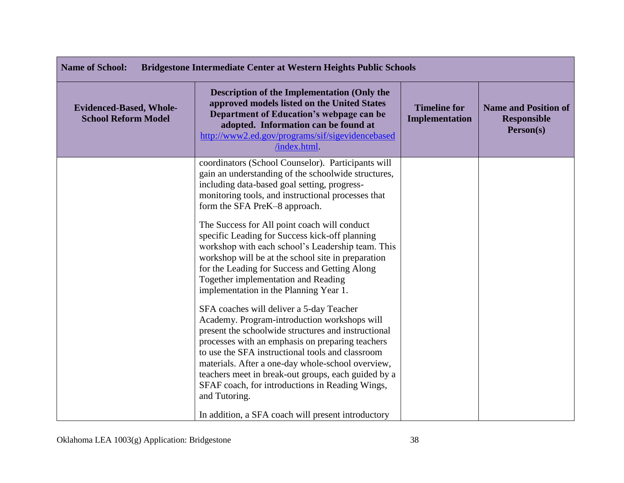| <b>Name of School:</b><br><b>Bridgestone Intermediate Center at Western Heights Public Schools</b> |                                                                                                                                                                                                                                                                                                                                                                                                                                         |                                       |                                                                |
|----------------------------------------------------------------------------------------------------|-----------------------------------------------------------------------------------------------------------------------------------------------------------------------------------------------------------------------------------------------------------------------------------------------------------------------------------------------------------------------------------------------------------------------------------------|---------------------------------------|----------------------------------------------------------------|
| <b>Evidenced-Based, Whole-</b><br><b>School Reform Model</b>                                       | <b>Description of the Implementation (Only the</b><br>approved models listed on the United States<br>Department of Education's webpage can be<br>adopted. Information can be found at<br>http://www2.ed.gov/programs/sif/sigevidencebased<br>/index.html.                                                                                                                                                                               | <b>Timeline for</b><br>Implementation | <b>Name and Position of</b><br><b>Responsible</b><br>Person(s) |
|                                                                                                    | coordinators (School Counselor). Participants will<br>gain an understanding of the schoolwide structures,<br>including data-based goal setting, progress-<br>monitoring tools, and instructional processes that<br>form the SFA PreK-8 approach.                                                                                                                                                                                        |                                       |                                                                |
|                                                                                                    | The Success for All point coach will conduct<br>specific Leading for Success kick-off planning<br>workshop with each school's Leadership team. This<br>workshop will be at the school site in preparation<br>for the Leading for Success and Getting Along<br>Together implementation and Reading<br>implementation in the Planning Year 1.                                                                                             |                                       |                                                                |
|                                                                                                    | SFA coaches will deliver a 5-day Teacher<br>Academy. Program-introduction workshops will<br>present the schoolwide structures and instructional<br>processes with an emphasis on preparing teachers<br>to use the SFA instructional tools and classroom<br>materials. After a one-day whole-school overview,<br>teachers meet in break-out groups, each guided by a<br>SFAF coach, for introductions in Reading Wings,<br>and Tutoring. |                                       |                                                                |
|                                                                                                    | In addition, a SFA coach will present introductory                                                                                                                                                                                                                                                                                                                                                                                      |                                       |                                                                |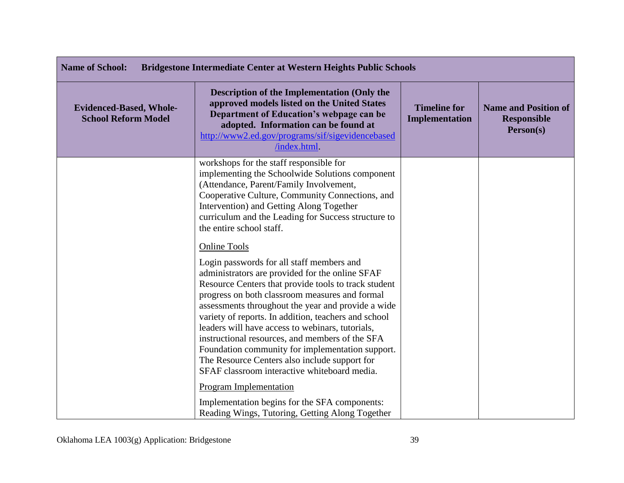| <b>Name of School:</b><br><b>Bridgestone Intermediate Center at Western Heights Public Schools</b> |                                                                                                                                                                                                                                                                                                                                                                                                                                                                                                                                                                                                         |                                       |                                                                |
|----------------------------------------------------------------------------------------------------|---------------------------------------------------------------------------------------------------------------------------------------------------------------------------------------------------------------------------------------------------------------------------------------------------------------------------------------------------------------------------------------------------------------------------------------------------------------------------------------------------------------------------------------------------------------------------------------------------------|---------------------------------------|----------------------------------------------------------------|
| <b>Evidenced-Based, Whole-</b><br><b>School Reform Model</b>                                       | <b>Description of the Implementation (Only the</b><br>approved models listed on the United States<br>Department of Education's webpage can be<br>adopted. Information can be found at<br>http://www2.ed.gov/programs/sif/sigevidencebased<br>/index.html.                                                                                                                                                                                                                                                                                                                                               | <b>Timeline for</b><br>Implementation | <b>Name and Position of</b><br><b>Responsible</b><br>Person(s) |
|                                                                                                    | workshops for the staff responsible for<br>implementing the Schoolwide Solutions component<br>(Attendance, Parent/Family Involvement,<br>Cooperative Culture, Community Connections, and<br>Intervention) and Getting Along Together<br>curriculum and the Leading for Success structure to<br>the entire school staff.                                                                                                                                                                                                                                                                                 |                                       |                                                                |
|                                                                                                    | <b>Online Tools</b><br>Login passwords for all staff members and<br>administrators are provided for the online SFAF<br>Resource Centers that provide tools to track student<br>progress on both classroom measures and formal<br>assessments throughout the year and provide a wide<br>variety of reports. In addition, teachers and school<br>leaders will have access to webinars, tutorials,<br>instructional resources, and members of the SFA<br>Foundation community for implementation support.<br>The Resource Centers also include support for<br>SFAF classroom interactive whiteboard media. |                                       |                                                                |
|                                                                                                    | Program Implementation<br>Implementation begins for the SFA components:<br>Reading Wings, Tutoring, Getting Along Together                                                                                                                                                                                                                                                                                                                                                                                                                                                                              |                                       |                                                                |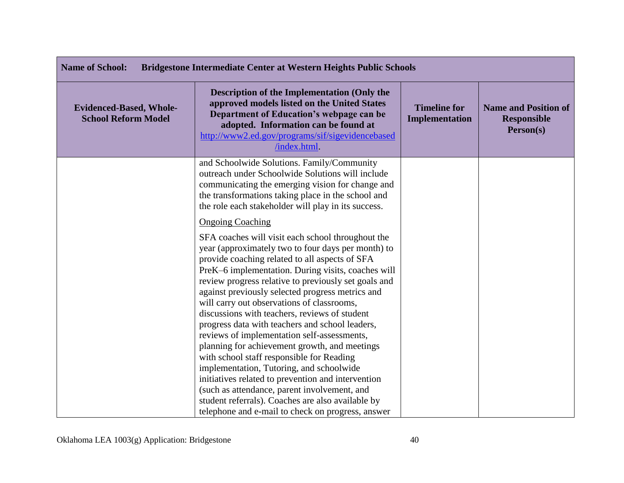| <b>Name of School:</b><br><b>Bridgestone Intermediate Center at Western Heights Public Schools</b>                                                                                                                                                 |                                                                                                                                                                                                                                                                                                                                                                                                                                                                                                                                                                                                                                                                                                                                  |                                                                |  |
|----------------------------------------------------------------------------------------------------------------------------------------------------------------------------------------------------------------------------------------------------|----------------------------------------------------------------------------------------------------------------------------------------------------------------------------------------------------------------------------------------------------------------------------------------------------------------------------------------------------------------------------------------------------------------------------------------------------------------------------------------------------------------------------------------------------------------------------------------------------------------------------------------------------------------------------------------------------------------------------------|----------------------------------------------------------------|--|
| Description of the Implementation (Only the<br>approved models listed on the United States<br>Department of Education's webpage can be<br>adopted. Information can be found at<br>http://www2.ed.gov/programs/sif/sigevidencebased<br>/index.html. | <b>Timeline for</b><br><b>Implementation</b>                                                                                                                                                                                                                                                                                                                                                                                                                                                                                                                                                                                                                                                                                     | <b>Name and Position of</b><br><b>Responsible</b><br>Person(s) |  |
| and Schoolwide Solutions. Family/Community                                                                                                                                                                                                         |                                                                                                                                                                                                                                                                                                                                                                                                                                                                                                                                                                                                                                                                                                                                  |                                                                |  |
|                                                                                                                                                                                                                                                    |                                                                                                                                                                                                                                                                                                                                                                                                                                                                                                                                                                                                                                                                                                                                  |                                                                |  |
| the transformations taking place in the school and                                                                                                                                                                                                 |                                                                                                                                                                                                                                                                                                                                                                                                                                                                                                                                                                                                                                                                                                                                  |                                                                |  |
| the role each stakeholder will play in its success.                                                                                                                                                                                                |                                                                                                                                                                                                                                                                                                                                                                                                                                                                                                                                                                                                                                                                                                                                  |                                                                |  |
| <b>Ongoing Coaching</b>                                                                                                                                                                                                                            |                                                                                                                                                                                                                                                                                                                                                                                                                                                                                                                                                                                                                                                                                                                                  |                                                                |  |
| SFA coaches will visit each school throughout the                                                                                                                                                                                                  |                                                                                                                                                                                                                                                                                                                                                                                                                                                                                                                                                                                                                                                                                                                                  |                                                                |  |
| year (approximately two to four days per month) to                                                                                                                                                                                                 |                                                                                                                                                                                                                                                                                                                                                                                                                                                                                                                                                                                                                                                                                                                                  |                                                                |  |
|                                                                                                                                                                                                                                                    |                                                                                                                                                                                                                                                                                                                                                                                                                                                                                                                                                                                                                                                                                                                                  |                                                                |  |
|                                                                                                                                                                                                                                                    |                                                                                                                                                                                                                                                                                                                                                                                                                                                                                                                                                                                                                                                                                                                                  |                                                                |  |
|                                                                                                                                                                                                                                                    |                                                                                                                                                                                                                                                                                                                                                                                                                                                                                                                                                                                                                                                                                                                                  |                                                                |  |
|                                                                                                                                                                                                                                                    |                                                                                                                                                                                                                                                                                                                                                                                                                                                                                                                                                                                                                                                                                                                                  |                                                                |  |
|                                                                                                                                                                                                                                                    |                                                                                                                                                                                                                                                                                                                                                                                                                                                                                                                                                                                                                                                                                                                                  |                                                                |  |
| progress data with teachers and school leaders,                                                                                                                                                                                                    |                                                                                                                                                                                                                                                                                                                                                                                                                                                                                                                                                                                                                                                                                                                                  |                                                                |  |
| reviews of implementation self-assessments,                                                                                                                                                                                                        |                                                                                                                                                                                                                                                                                                                                                                                                                                                                                                                                                                                                                                                                                                                                  |                                                                |  |
| planning for achievement growth, and meetings                                                                                                                                                                                                      |                                                                                                                                                                                                                                                                                                                                                                                                                                                                                                                                                                                                                                                                                                                                  |                                                                |  |
|                                                                                                                                                                                                                                                    |                                                                                                                                                                                                                                                                                                                                                                                                                                                                                                                                                                                                                                                                                                                                  |                                                                |  |
|                                                                                                                                                                                                                                                    |                                                                                                                                                                                                                                                                                                                                                                                                                                                                                                                                                                                                                                                                                                                                  |                                                                |  |
|                                                                                                                                                                                                                                                    |                                                                                                                                                                                                                                                                                                                                                                                                                                                                                                                                                                                                                                                                                                                                  |                                                                |  |
|                                                                                                                                                                                                                                                    |                                                                                                                                                                                                                                                                                                                                                                                                                                                                                                                                                                                                                                                                                                                                  |                                                                |  |
|                                                                                                                                                                                                                                                    |                                                                                                                                                                                                                                                                                                                                                                                                                                                                                                                                                                                                                                                                                                                                  |                                                                |  |
|                                                                                                                                                                                                                                                    | outreach under Schoolwide Solutions will include<br>communicating the emerging vision for change and<br>provide coaching related to all aspects of SFA<br>PreK-6 implementation. During visits, coaches will<br>review progress relative to previously set goals and<br>against previously selected progress metrics and<br>will carry out observations of classrooms,<br>discussions with teachers, reviews of student<br>with school staff responsible for Reading<br>implementation, Tutoring, and schoolwide<br>initiatives related to prevention and intervention<br>(such as attendance, parent involvement, and<br>student referrals). Coaches are also available by<br>telephone and e-mail to check on progress, answer |                                                                |  |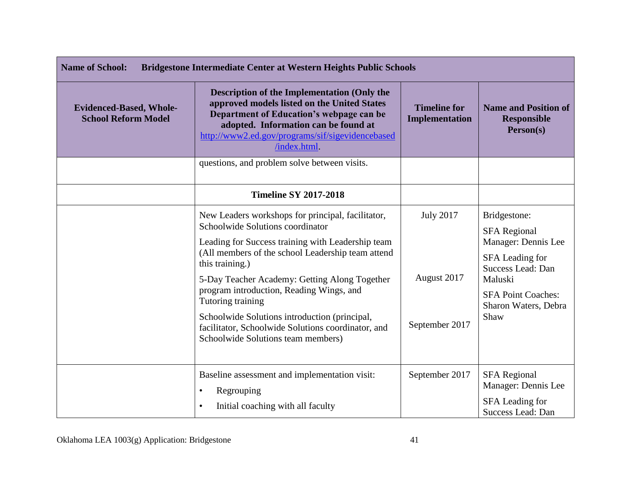| <b>Name of School:</b><br><b>Bridgestone Intermediate Center at Western Heights Public Schools</b> |                                                                                                                                                                                                                                                                                                                                                                                                                                                                                   |                                                   |                                                                                                                                                                            |
|----------------------------------------------------------------------------------------------------|-----------------------------------------------------------------------------------------------------------------------------------------------------------------------------------------------------------------------------------------------------------------------------------------------------------------------------------------------------------------------------------------------------------------------------------------------------------------------------------|---------------------------------------------------|----------------------------------------------------------------------------------------------------------------------------------------------------------------------------|
| <b>Evidenced-Based, Whole-</b><br><b>School Reform Model</b>                                       | <b>Description of the Implementation (Only the</b><br>approved models listed on the United States<br>Department of Education's webpage can be<br>adopted. Information can be found at<br>http://www2.ed.gov/programs/sif/sigevidencebased<br>/index.html                                                                                                                                                                                                                          | <b>Timeline for</b><br><b>Implementation</b>      | <b>Name and Position of</b><br><b>Responsible</b><br>Person(s)                                                                                                             |
|                                                                                                    | questions, and problem solve between visits.                                                                                                                                                                                                                                                                                                                                                                                                                                      |                                                   |                                                                                                                                                                            |
|                                                                                                    | <b>Timeline SY 2017-2018</b>                                                                                                                                                                                                                                                                                                                                                                                                                                                      |                                                   |                                                                                                                                                                            |
|                                                                                                    | New Leaders workshops for principal, facilitator,<br>Schoolwide Solutions coordinator<br>Leading for Success training with Leadership team<br>(All members of the school Leadership team attend<br>this training.)<br>5-Day Teacher Academy: Getting Along Together<br>program introduction, Reading Wings, and<br>Tutoring training<br>Schoolwide Solutions introduction (principal,<br>facilitator, Schoolwide Solutions coordinator, and<br>Schoolwide Solutions team members) | <b>July 2017</b><br>August 2017<br>September 2017 | Bridgestone:<br><b>SFA Regional</b><br>Manager: Dennis Lee<br>SFA Leading for<br>Success Lead: Dan<br>Maluski<br><b>SFA Point Coaches:</b><br>Sharon Waters, Debra<br>Shaw |
|                                                                                                    | Baseline assessment and implementation visit:<br>Regrouping<br>$\bullet$<br>Initial coaching with all faculty<br>$\bullet$                                                                                                                                                                                                                                                                                                                                                        | September 2017                                    | <b>SFA Regional</b><br>Manager: Dennis Lee<br>SFA Leading for<br>Success Lead: Dan                                                                                         |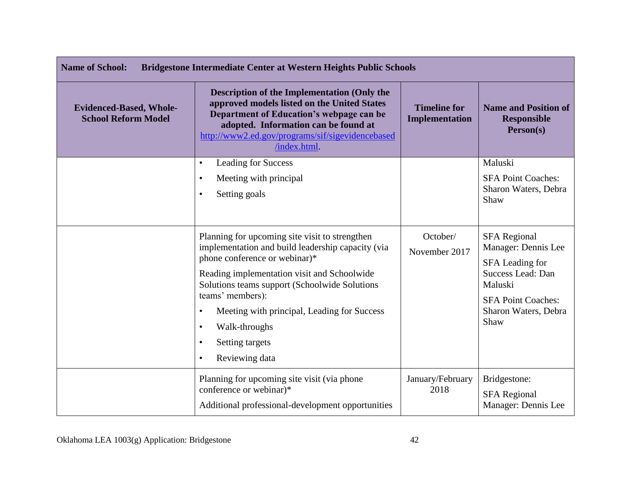| <b>Name of School:</b><br><b>Bridgestone Intermediate Center at Western Heights Public Schools</b> |                                                                                                                                                                                                                                                          |                                              |                                                                |
|----------------------------------------------------------------------------------------------------|----------------------------------------------------------------------------------------------------------------------------------------------------------------------------------------------------------------------------------------------------------|----------------------------------------------|----------------------------------------------------------------|
| <b>Evidenced-Based, Whole-</b><br><b>School Reform Model</b>                                       | <b>Description of the Implementation (Only the</b><br>approved models listed on the United States<br>Department of Education's webpage can be<br>adopted. Information can be found at<br>http://www2.ed.gov/programs/sif/sigevidencebased<br>/index.html | <b>Timeline for</b><br><b>Implementation</b> | <b>Name and Position of</b><br><b>Responsible</b><br>Person(s) |
|                                                                                                    | <b>Leading for Success</b><br>$\bullet$                                                                                                                                                                                                                  |                                              | Maluski                                                        |
|                                                                                                    | Meeting with principal<br>$\bullet$                                                                                                                                                                                                                      |                                              | <b>SFA Point Coaches:</b>                                      |
|                                                                                                    | Setting goals<br>$\bullet$                                                                                                                                                                                                                               |                                              | Sharon Waters, Debra<br>Shaw                                   |
|                                                                                                    | Planning for upcoming site visit to strengthen                                                                                                                                                                                                           | October/                                     | <b>SFA Regional</b>                                            |
|                                                                                                    | implementation and build leadership capacity (via<br>phone conference or webinar)*                                                                                                                                                                       | November 2017                                | Manager: Dennis Lee<br>SFA Leading for                         |
|                                                                                                    | Reading implementation visit and Schoolwide<br>Solutions teams support (Schoolwide Solutions                                                                                                                                                             |                                              | <b>Success Lead: Dan</b><br>Maluski                            |
|                                                                                                    | teams' members):                                                                                                                                                                                                                                         |                                              | <b>SFA Point Coaches:</b>                                      |
|                                                                                                    | Meeting with principal, Leading for Success<br>$\bullet$                                                                                                                                                                                                 |                                              | Sharon Waters, Debra<br>Shaw                                   |
|                                                                                                    | Walk-throughs<br>$\bullet$                                                                                                                                                                                                                               |                                              |                                                                |
|                                                                                                    | Setting targets<br>$\bullet$                                                                                                                                                                                                                             |                                              |                                                                |
|                                                                                                    | Reviewing data<br>$\bullet$                                                                                                                                                                                                                              |                                              |                                                                |
|                                                                                                    | Planning for upcoming site visit (via phone                                                                                                                                                                                                              | January/February                             | Bridgestone:                                                   |
|                                                                                                    | conference or webinar)*                                                                                                                                                                                                                                  | 2018                                         | <b>SFA Regional</b>                                            |
|                                                                                                    | Additional professional-development opportunities                                                                                                                                                                                                        |                                              | Manager: Dennis Lee                                            |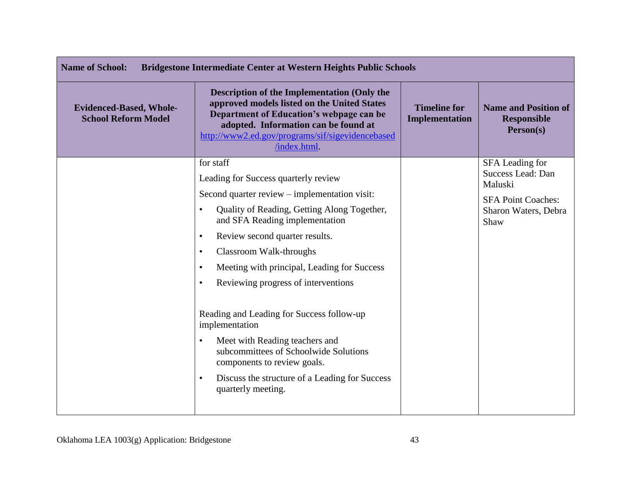| <b>Name of School:</b><br><b>Bridgestone Intermediate Center at Western Heights Public Schools</b> |                                                                                                                                                                                                                                                          |                                       |                                                                |
|----------------------------------------------------------------------------------------------------|----------------------------------------------------------------------------------------------------------------------------------------------------------------------------------------------------------------------------------------------------------|---------------------------------------|----------------------------------------------------------------|
| <b>Evidenced-Based, Whole-</b><br><b>School Reform Model</b>                                       | <b>Description of the Implementation (Only the</b><br>approved models listed on the United States<br>Department of Education's webpage can be<br>adopted. Information can be found at<br>http://www2.ed.gov/programs/sif/sigevidencebased<br>/index.html | <b>Timeline for</b><br>Implementation | <b>Name and Position of</b><br><b>Responsible</b><br>Person(s) |
|                                                                                                    | for staff                                                                                                                                                                                                                                                |                                       | SFA Leading for<br>Success Lead: Dan                           |
|                                                                                                    | Leading for Success quarterly review                                                                                                                                                                                                                     |                                       | Maluski                                                        |
|                                                                                                    | Second quarter review – implementation visit:                                                                                                                                                                                                            |                                       | <b>SFA Point Coaches:</b>                                      |
|                                                                                                    | Quality of Reading, Getting Along Together,<br>$\bullet$<br>and SFA Reading implementation                                                                                                                                                               |                                       | Sharon Waters, Debra<br>Shaw                                   |
|                                                                                                    | Review second quarter results.<br>$\bullet$                                                                                                                                                                                                              |                                       |                                                                |
|                                                                                                    | Classroom Walk-throughs<br>$\bullet$                                                                                                                                                                                                                     |                                       |                                                                |
|                                                                                                    | Meeting with principal, Leading for Success<br>$\bullet$                                                                                                                                                                                                 |                                       |                                                                |
|                                                                                                    | Reviewing progress of interventions<br>$\bullet$                                                                                                                                                                                                         |                                       |                                                                |
|                                                                                                    | Reading and Leading for Success follow-up<br>implementation                                                                                                                                                                                              |                                       |                                                                |
|                                                                                                    | Meet with Reading teachers and<br>$\bullet$<br>subcommittees of Schoolwide Solutions<br>components to review goals.                                                                                                                                      |                                       |                                                                |
|                                                                                                    | Discuss the structure of a Leading for Success<br>$\bullet$<br>quarterly meeting.                                                                                                                                                                        |                                       |                                                                |
|                                                                                                    |                                                                                                                                                                                                                                                          |                                       |                                                                |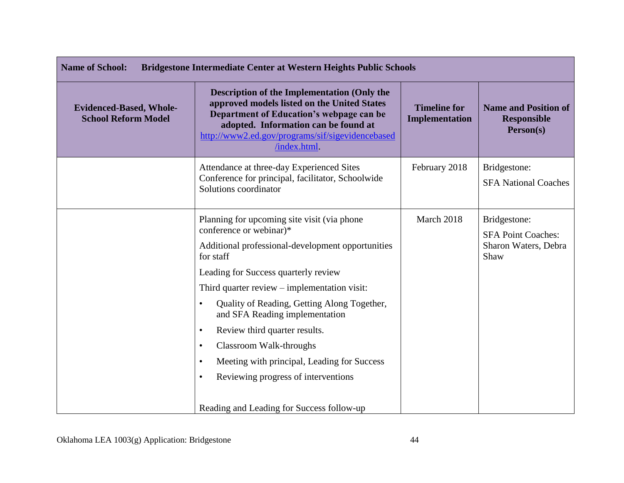| <b>Name of School:</b><br><b>Bridgestone Intermediate Center at Western Heights Public Schools</b> |                                                                                                                                                                                                                                                                                                                                                                                                                                                                                                                                                                                    |                                       |                                                                           |
|----------------------------------------------------------------------------------------------------|------------------------------------------------------------------------------------------------------------------------------------------------------------------------------------------------------------------------------------------------------------------------------------------------------------------------------------------------------------------------------------------------------------------------------------------------------------------------------------------------------------------------------------------------------------------------------------|---------------------------------------|---------------------------------------------------------------------------|
| <b>Evidenced-Based, Whole-</b><br><b>School Reform Model</b>                                       | <b>Description of the Implementation (Only the</b><br>approved models listed on the United States<br>Department of Education's webpage can be<br>adopted. Information can be found at<br>http://www2.ed.gov/programs/sif/sigevidencebased<br>/index.html                                                                                                                                                                                                                                                                                                                           | <b>Timeline for</b><br>Implementation | <b>Name and Position of</b><br><b>Responsible</b><br>Person(s)            |
|                                                                                                    | Attendance at three-day Experienced Sites<br>Conference for principal, facilitator, Schoolwide<br>Solutions coordinator                                                                                                                                                                                                                                                                                                                                                                                                                                                            | February 2018                         | Bridgestone:<br><b>SFA National Coaches</b>                               |
|                                                                                                    | Planning for upcoming site visit (via phone)<br>conference or webinar)*<br>Additional professional-development opportunities<br>for staff<br>Leading for Success quarterly review<br>Third quarter review – implementation visit:<br>Quality of Reading, Getting Along Together,<br>$\bullet$<br>and SFA Reading implementation<br>Review third quarter results.<br>$\bullet$<br>Classroom Walk-throughs<br>$\bullet$<br>Meeting with principal, Leading for Success<br>$\bullet$<br>Reviewing progress of interventions<br>$\bullet$<br>Reading and Leading for Success follow-up | March 2018                            | Bridgestone:<br><b>SFA Point Coaches:</b><br>Sharon Waters, Debra<br>Shaw |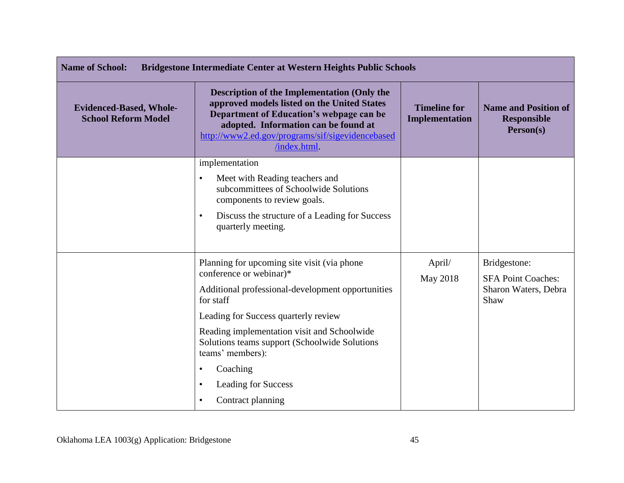| <b>Name of School:</b><br><b>Bridgestone Intermediate Center at Western Heights Public Schools</b> |                                                                                                                                                                                                                                                           |                                       |                                                                |
|----------------------------------------------------------------------------------------------------|-----------------------------------------------------------------------------------------------------------------------------------------------------------------------------------------------------------------------------------------------------------|---------------------------------------|----------------------------------------------------------------|
| <b>Evidenced-Based, Whole-</b><br><b>School Reform Model</b>                                       | <b>Description of the Implementation (Only the</b><br>approved models listed on the United States<br>Department of Education's webpage can be<br>adopted. Information can be found at<br>http://www2.ed.gov/programs/sif/sigevidencebased<br>/index.html. | <b>Timeline for</b><br>Implementation | <b>Name and Position of</b><br><b>Responsible</b><br>Person(s) |
|                                                                                                    | implementation                                                                                                                                                                                                                                            |                                       |                                                                |
|                                                                                                    | Meet with Reading teachers and<br>$\bullet$<br>subcommittees of Schoolwide Solutions<br>components to review goals.                                                                                                                                       |                                       |                                                                |
|                                                                                                    | Discuss the structure of a Leading for Success<br>$\bullet$<br>quarterly meeting.                                                                                                                                                                         |                                       |                                                                |
|                                                                                                    | Planning for upcoming site visit (via phone                                                                                                                                                                                                               | April/                                | Bridgestone:                                                   |
|                                                                                                    | conference or webinar)*                                                                                                                                                                                                                                   | May 2018                              | <b>SFA Point Coaches:</b>                                      |
|                                                                                                    | Additional professional-development opportunities<br>for staff                                                                                                                                                                                            |                                       | Sharon Waters, Debra<br>Shaw                                   |
|                                                                                                    | Leading for Success quarterly review                                                                                                                                                                                                                      |                                       |                                                                |
|                                                                                                    | Reading implementation visit and Schoolwide<br>Solutions teams support (Schoolwide Solutions<br>teams' members):                                                                                                                                          |                                       |                                                                |
|                                                                                                    | Coaching                                                                                                                                                                                                                                                  |                                       |                                                                |
|                                                                                                    | <b>Leading for Success</b><br>$\bullet$                                                                                                                                                                                                                   |                                       |                                                                |
|                                                                                                    | Contract planning<br>$\bullet$                                                                                                                                                                                                                            |                                       |                                                                |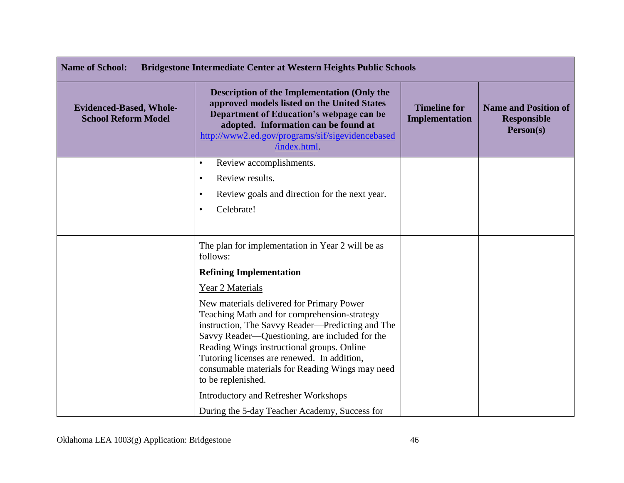| <b>Name of School:</b><br><b>Bridgestone Intermediate Center at Western Heights Public Schools</b> |                                                                                                                                                                                                                                                                                                                                                                                           |                                       |                                                                |
|----------------------------------------------------------------------------------------------------|-------------------------------------------------------------------------------------------------------------------------------------------------------------------------------------------------------------------------------------------------------------------------------------------------------------------------------------------------------------------------------------------|---------------------------------------|----------------------------------------------------------------|
| <b>Evidenced-Based, Whole-</b><br><b>School Reform Model</b>                                       | <b>Description of the Implementation (Only the</b><br>approved models listed on the United States<br>Department of Education's webpage can be<br>adopted. Information can be found at<br>http://www2.ed.gov/programs/sif/sigevidencebased<br>/index.html                                                                                                                                  | <b>Timeline for</b><br>Implementation | <b>Name and Position of</b><br><b>Responsible</b><br>Person(s) |
|                                                                                                    | Review accomplishments.<br>$\bullet$                                                                                                                                                                                                                                                                                                                                                      |                                       |                                                                |
|                                                                                                    | Review results.<br>$\bullet$<br>Review goals and direction for the next year.<br>$\bullet$<br>Celebrate!<br>$\bullet$                                                                                                                                                                                                                                                                     |                                       |                                                                |
|                                                                                                    | The plan for implementation in Year 2 will be as<br>follows:                                                                                                                                                                                                                                                                                                                              |                                       |                                                                |
|                                                                                                    | <b>Refining Implementation</b>                                                                                                                                                                                                                                                                                                                                                            |                                       |                                                                |
|                                                                                                    | Year 2 Materials<br>New materials delivered for Primary Power<br>Teaching Math and for comprehension-strategy<br>instruction, The Savvy Reader—Predicting and The<br>Savvy Reader—Questioning, are included for the<br>Reading Wings instructional groups. Online<br>Tutoring licenses are renewed. In addition,<br>consumable materials for Reading Wings may need<br>to be replenished. |                                       |                                                                |
|                                                                                                    | <b>Introductory and Refresher Workshops</b>                                                                                                                                                                                                                                                                                                                                               |                                       |                                                                |
|                                                                                                    | During the 5-day Teacher Academy, Success for                                                                                                                                                                                                                                                                                                                                             |                                       |                                                                |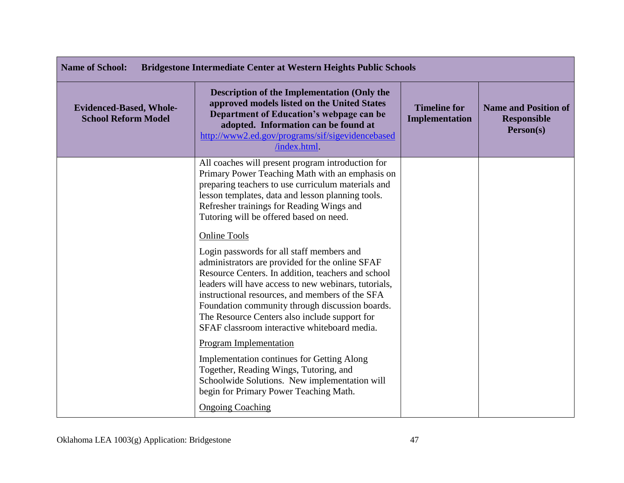| <b>Name of School:</b><br><b>Bridgestone Intermediate Center at Western Heights Public Schools</b> |                                                                                                                                                                                                                                                                                                                                                                                                                                          |                                              |                                                                |
|----------------------------------------------------------------------------------------------------|------------------------------------------------------------------------------------------------------------------------------------------------------------------------------------------------------------------------------------------------------------------------------------------------------------------------------------------------------------------------------------------------------------------------------------------|----------------------------------------------|----------------------------------------------------------------|
| <b>Evidenced-Based, Whole-</b><br><b>School Reform Model</b>                                       | <b>Description of the Implementation (Only the</b><br>approved models listed on the United States<br>Department of Education's webpage can be<br>adopted. Information can be found at<br>http://www2.ed.gov/programs/sif/sigevidencebased<br>/index.html.                                                                                                                                                                                | <b>Timeline for</b><br><b>Implementation</b> | <b>Name and Position of</b><br><b>Responsible</b><br>Person(s) |
|                                                                                                    | All coaches will present program introduction for<br>Primary Power Teaching Math with an emphasis on<br>preparing teachers to use curriculum materials and<br>lesson templates, data and lesson planning tools.<br>Refresher trainings for Reading Wings and<br>Tutoring will be offered based on need.                                                                                                                                  |                                              |                                                                |
|                                                                                                    | <b>Online Tools</b><br>Login passwords for all staff members and<br>administrators are provided for the online SFAF<br>Resource Centers. In addition, teachers and school<br>leaders will have access to new webinars, tutorials,<br>instructional resources, and members of the SFA<br>Foundation community through discussion boards.<br>The Resource Centers also include support for<br>SFAF classroom interactive whiteboard media. |                                              |                                                                |
|                                                                                                    | Program Implementation<br><b>Implementation continues for Getting Along</b><br>Together, Reading Wings, Tutoring, and<br>Schoolwide Solutions. New implementation will<br>begin for Primary Power Teaching Math.<br><b>Ongoing Coaching</b>                                                                                                                                                                                              |                                              |                                                                |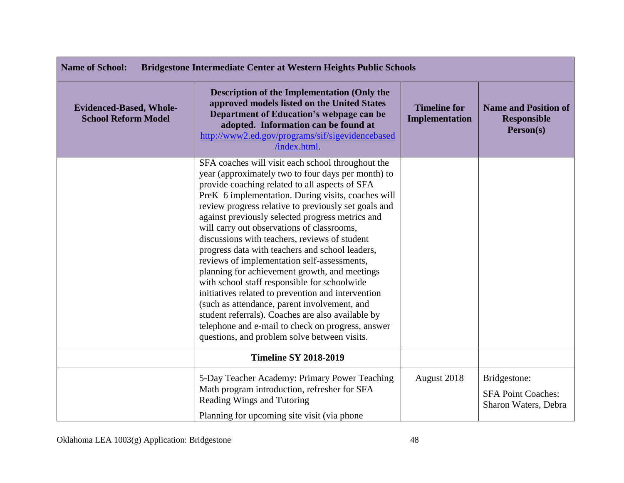| <b>Name of School:</b><br><b>Bridgestone Intermediate Center at Western Heights Public Schools</b> |                                                                                                                                                                                                                                                                                                                                                                                                                                                                                                                                                                                                                                                                                                                                                                                                                                                                                               |                                       |                                                                   |
|----------------------------------------------------------------------------------------------------|-----------------------------------------------------------------------------------------------------------------------------------------------------------------------------------------------------------------------------------------------------------------------------------------------------------------------------------------------------------------------------------------------------------------------------------------------------------------------------------------------------------------------------------------------------------------------------------------------------------------------------------------------------------------------------------------------------------------------------------------------------------------------------------------------------------------------------------------------------------------------------------------------|---------------------------------------|-------------------------------------------------------------------|
| <b>Evidenced-Based, Whole-</b><br><b>School Reform Model</b>                                       | <b>Description of the Implementation (Only the</b><br>approved models listed on the United States<br>Department of Education's webpage can be<br>adopted. Information can be found at<br>http://www2.ed.gov/programs/sif/sigevidencebased<br>/index.html                                                                                                                                                                                                                                                                                                                                                                                                                                                                                                                                                                                                                                      | <b>Timeline for</b><br>Implementation | <b>Name and Position of</b><br><b>Responsible</b><br>Person(s)    |
|                                                                                                    | SFA coaches will visit each school throughout the<br>year (approximately two to four days per month) to<br>provide coaching related to all aspects of SFA<br>PreK-6 implementation. During visits, coaches will<br>review progress relative to previously set goals and<br>against previously selected progress metrics and<br>will carry out observations of classrooms,<br>discussions with teachers, reviews of student<br>progress data with teachers and school leaders,<br>reviews of implementation self-assessments,<br>planning for achievement growth, and meetings<br>with school staff responsible for schoolwide<br>initiatives related to prevention and intervention<br>(such as attendance, parent involvement, and<br>student referrals). Coaches are also available by<br>telephone and e-mail to check on progress, answer<br>questions, and problem solve between visits. |                                       |                                                                   |
|                                                                                                    | <b>Timeline SY 2018-2019</b>                                                                                                                                                                                                                                                                                                                                                                                                                                                                                                                                                                                                                                                                                                                                                                                                                                                                  |                                       |                                                                   |
|                                                                                                    | 5-Day Teacher Academy: Primary Power Teaching<br>Math program introduction, refresher for SFA<br>Reading Wings and Tutoring<br>Planning for upcoming site visit (via phone)                                                                                                                                                                                                                                                                                                                                                                                                                                                                                                                                                                                                                                                                                                                   | August 2018                           | Bridgestone:<br><b>SFA Point Coaches:</b><br>Sharon Waters, Debra |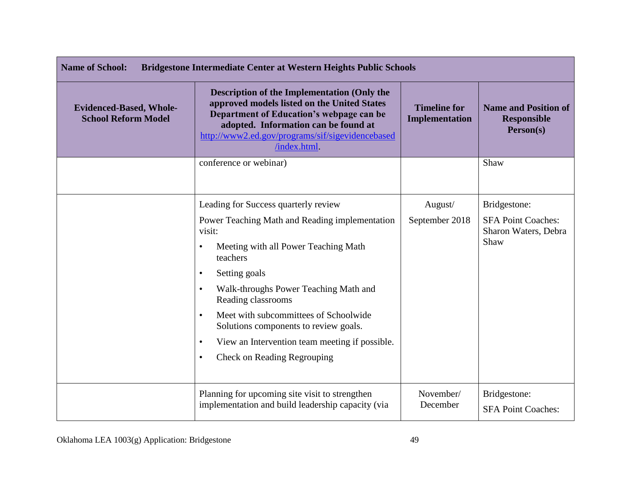| <b>Name of School:</b><br><b>Bridgestone Intermediate Center at Western Heights Public Schools</b> |                                                                                                                                                                                                                                                                                                                                                                                                                                                      |                                       |                                                                |
|----------------------------------------------------------------------------------------------------|------------------------------------------------------------------------------------------------------------------------------------------------------------------------------------------------------------------------------------------------------------------------------------------------------------------------------------------------------------------------------------------------------------------------------------------------------|---------------------------------------|----------------------------------------------------------------|
| <b>Evidenced-Based, Whole-</b><br><b>School Reform Model</b>                                       | <b>Description of the Implementation (Only the</b><br>approved models listed on the United States<br>Department of Education's webpage can be<br>adopted. Information can be found at<br>http://www2.ed.gov/programs/sif/sigevidencebased<br>/index.html.                                                                                                                                                                                            | <b>Timeline for</b><br>Implementation | <b>Name and Position of</b><br><b>Responsible</b><br>Person(s) |
|                                                                                                    | conference or webinar)                                                                                                                                                                                                                                                                                                                                                                                                                               |                                       | Shaw                                                           |
|                                                                                                    | Leading for Success quarterly review                                                                                                                                                                                                                                                                                                                                                                                                                 | August/                               | Bridgestone:                                                   |
|                                                                                                    | Power Teaching Math and Reading implementation<br>visit:<br>Meeting with all Power Teaching Math<br>$\bullet$<br>teachers<br>Setting goals<br>$\bullet$<br>Walk-throughs Power Teaching Math and<br>$\bullet$<br>Reading classrooms<br>Meet with subcommittees of Schoolwide<br>$\bullet$<br>Solutions components to review goals.<br>View an Intervention team meeting if possible.<br>$\bullet$<br><b>Check on Reading Regrouping</b><br>$\bullet$ | September 2018                        | <b>SFA Point Coaches:</b><br>Sharon Waters, Debra<br>Shaw      |
|                                                                                                    | Planning for upcoming site visit to strengthen<br>implementation and build leadership capacity (via                                                                                                                                                                                                                                                                                                                                                  | November/<br>December                 | Bridgestone:<br><b>SFA Point Coaches:</b>                      |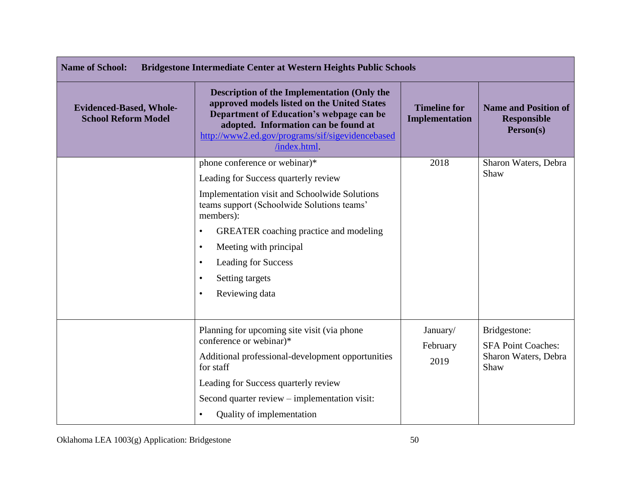| <b>Name of School:</b><br>Bridgestone Intermediate Center at Western Heights Public Schools |                                                                                                                                                                                                                                                          |                                       |                                                                |
|---------------------------------------------------------------------------------------------|----------------------------------------------------------------------------------------------------------------------------------------------------------------------------------------------------------------------------------------------------------|---------------------------------------|----------------------------------------------------------------|
| <b>Evidenced-Based, Whole-</b><br><b>School Reform Model</b>                                | <b>Description of the Implementation (Only the</b><br>approved models listed on the United States<br>Department of Education's webpage can be<br>adopted. Information can be found at<br>http://www2.ed.gov/programs/sif/sigevidencebased<br>/index.html | <b>Timeline for</b><br>Implementation | <b>Name and Position of</b><br><b>Responsible</b><br>Person(s) |
|                                                                                             | phone conference or webinar)*                                                                                                                                                                                                                            | 2018                                  | Sharon Waters, Debra<br>Shaw                                   |
|                                                                                             | Leading for Success quarterly review                                                                                                                                                                                                                     |                                       |                                                                |
|                                                                                             | Implementation visit and Schoolwide Solutions<br>teams support (Schoolwide Solutions teams'<br>members):                                                                                                                                                 |                                       |                                                                |
|                                                                                             | <b>GREATER</b> coaching practice and modeling<br>$\bullet$                                                                                                                                                                                               |                                       |                                                                |
|                                                                                             | Meeting with principal<br>$\bullet$                                                                                                                                                                                                                      |                                       |                                                                |
|                                                                                             | Leading for Success<br>$\bullet$                                                                                                                                                                                                                         |                                       |                                                                |
|                                                                                             | Setting targets                                                                                                                                                                                                                                          |                                       |                                                                |
|                                                                                             | Reviewing data                                                                                                                                                                                                                                           |                                       |                                                                |
|                                                                                             |                                                                                                                                                                                                                                                          |                                       |                                                                |
|                                                                                             | Planning for upcoming site visit (via phone                                                                                                                                                                                                              | January/                              | Bridgestone:                                                   |
|                                                                                             | conference or webinar)*                                                                                                                                                                                                                                  | February                              | <b>SFA Point Coaches:</b>                                      |
|                                                                                             | Additional professional-development opportunities<br>for staff                                                                                                                                                                                           | 2019                                  | Sharon Waters, Debra<br>Shaw                                   |
|                                                                                             | Leading for Success quarterly review                                                                                                                                                                                                                     |                                       |                                                                |
|                                                                                             | Second quarter review – implementation visit:                                                                                                                                                                                                            |                                       |                                                                |
|                                                                                             | Quality of implementation                                                                                                                                                                                                                                |                                       |                                                                |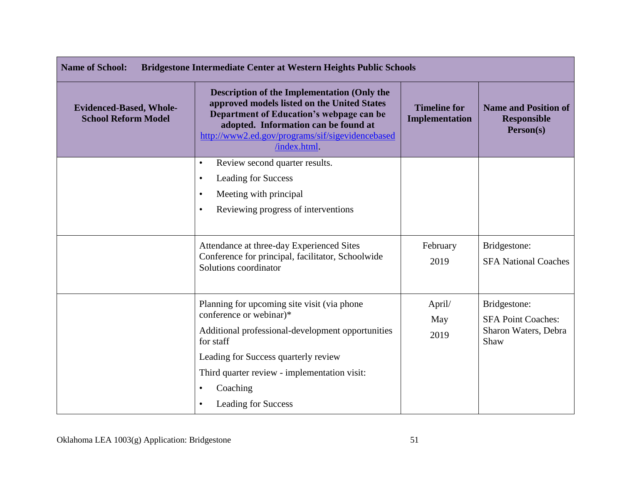| <b>Name of School:</b><br><b>Bridgestone Intermediate Center at Western Heights Public Schools</b> |                                                                                                                                                                                                                                                                                  |                                              |                                                                           |
|----------------------------------------------------------------------------------------------------|----------------------------------------------------------------------------------------------------------------------------------------------------------------------------------------------------------------------------------------------------------------------------------|----------------------------------------------|---------------------------------------------------------------------------|
| <b>Evidenced-Based, Whole-</b><br><b>School Reform Model</b>                                       | <b>Description of the Implementation (Only the</b><br>approved models listed on the United States<br>Department of Education's webpage can be<br>adopted. Information can be found at<br>http://www2.ed.gov/programs/sif/sigevidencebased<br>/index.html                         | <b>Timeline for</b><br><b>Implementation</b> | <b>Name and Position of</b><br><b>Responsible</b><br>Person(s)            |
|                                                                                                    | Review second quarter results.<br>$\bullet$<br>Leading for Success<br>$\bullet$<br>Meeting with principal<br>$\bullet$<br>Reviewing progress of interventions<br>$\bullet$                                                                                                       |                                              |                                                                           |
|                                                                                                    | Attendance at three-day Experienced Sites<br>Conference for principal, facilitator, Schoolwide<br>Solutions coordinator                                                                                                                                                          | February<br>2019                             | Bridgestone:<br><b>SFA National Coaches</b>                               |
|                                                                                                    | Planning for upcoming site visit (via phone)<br>conference or webinar)*<br>Additional professional-development opportunities<br>for staff<br>Leading for Success quarterly review<br>Third quarter review - implementation visit:<br>Coaching<br>٠<br><b>Leading for Success</b> | April/<br>May<br>2019                        | Bridgestone:<br><b>SFA Point Coaches:</b><br>Sharon Waters, Debra<br>Shaw |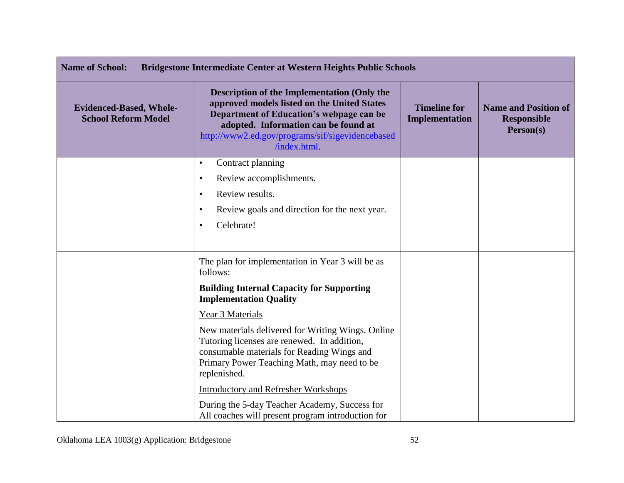| <b>Name of School:</b><br>Bridgestone Intermediate Center at Western Heights Public Schools |                                                                                                                                                                                                                                                           |                                              |                                                                |
|---------------------------------------------------------------------------------------------|-----------------------------------------------------------------------------------------------------------------------------------------------------------------------------------------------------------------------------------------------------------|----------------------------------------------|----------------------------------------------------------------|
| <b>Evidenced-Based, Whole-</b><br><b>School Reform Model</b>                                | <b>Description of the Implementation (Only the</b><br>approved models listed on the United States<br>Department of Education's webpage can be<br>adopted. Information can be found at<br>http://www2.ed.gov/programs/sif/sigevidencebased<br>/index.html. | <b>Timeline for</b><br><b>Implementation</b> | <b>Name and Position of</b><br><b>Responsible</b><br>Person(s) |
|                                                                                             | Contract planning<br>$\bullet$                                                                                                                                                                                                                            |                                              |                                                                |
|                                                                                             | Review accomplishments.<br>$\bullet$<br>Review results.<br>$\bullet$                                                                                                                                                                                      |                                              |                                                                |
|                                                                                             | Review goals and direction for the next year.<br>٠                                                                                                                                                                                                        |                                              |                                                                |
|                                                                                             | Celebrate!<br>$\bullet$                                                                                                                                                                                                                                   |                                              |                                                                |
|                                                                                             | The plan for implementation in Year 3 will be as<br>follows:                                                                                                                                                                                              |                                              |                                                                |
|                                                                                             | <b>Building Internal Capacity for Supporting</b><br><b>Implementation Quality</b>                                                                                                                                                                         |                                              |                                                                |
|                                                                                             | Year 3 Materials                                                                                                                                                                                                                                          |                                              |                                                                |
|                                                                                             | New materials delivered for Writing Wings. Online<br>Tutoring licenses are renewed. In addition,<br>consumable materials for Reading Wings and<br>Primary Power Teaching Math, may need to be<br>replenished.                                             |                                              |                                                                |
|                                                                                             | <b>Introductory and Refresher Workshops</b>                                                                                                                                                                                                               |                                              |                                                                |
|                                                                                             | During the 5-day Teacher Academy, Success for<br>All coaches will present program introduction for                                                                                                                                                        |                                              |                                                                |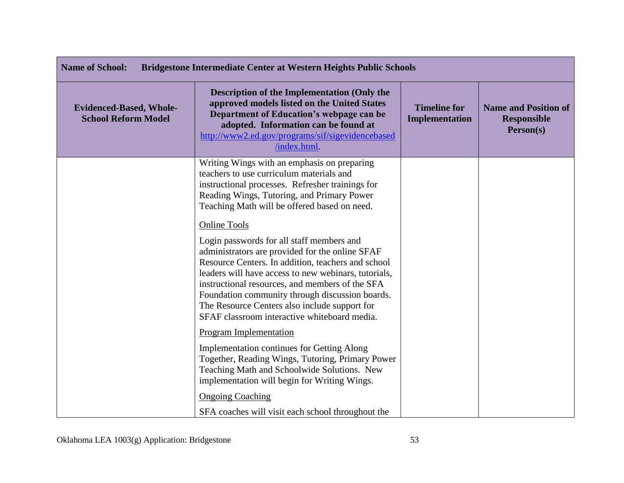| <b>Name of School:</b><br>Bridgestone Intermediate Center at Western Heights Public Schools |                                                                                                                                                                                                                                                                                                                                                                                                                                          |                                       |                                                                |
|---------------------------------------------------------------------------------------------|------------------------------------------------------------------------------------------------------------------------------------------------------------------------------------------------------------------------------------------------------------------------------------------------------------------------------------------------------------------------------------------------------------------------------------------|---------------------------------------|----------------------------------------------------------------|
| <b>Evidenced-Based, Whole-</b><br><b>School Reform Model</b>                                | <b>Description of the Implementation (Only the</b><br>approved models listed on the United States<br>Department of Education's webpage can be<br>adopted. Information can be found at<br>http://www2.ed.gov/programs/sif/sigevidencebased<br>/index.html                                                                                                                                                                                 | <b>Timeline for</b><br>Implementation | <b>Name and Position of</b><br><b>Responsible</b><br>Person(s) |
|                                                                                             | Writing Wings with an emphasis on preparing<br>teachers to use curriculum materials and<br>instructional processes. Refresher trainings for<br>Reading Wings, Tutoring, and Primary Power<br>Teaching Math will be offered based on need.                                                                                                                                                                                                |                                       |                                                                |
|                                                                                             | <b>Online Tools</b><br>Login passwords for all staff members and<br>administrators are provided for the online SFAF<br>Resource Centers. In addition, teachers and school<br>leaders will have access to new webinars, tutorials,<br>instructional resources, and members of the SFA<br>Foundation community through discussion boards.<br>The Resource Centers also include support for<br>SFAF classroom interactive whiteboard media. |                                       |                                                                |
|                                                                                             | Program Implementation<br><b>Implementation continues for Getting Along</b><br>Together, Reading Wings, Tutoring, Primary Power<br>Teaching Math and Schoolwide Solutions. New<br>implementation will begin for Writing Wings.<br><b>Ongoing Coaching</b><br>SFA coaches will visit each school throughout the                                                                                                                           |                                       |                                                                |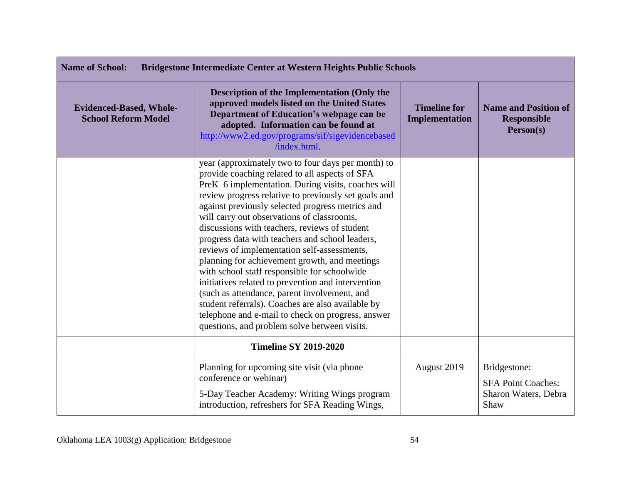| <b>Name of School:</b><br>Bridgestone Intermediate Center at Western Heights Public Schools |                                                                                                                                                                                                                                                                                                                                                                                                                                                                                                                                                                                                                                                                                                                                                                                                                                          |                                              |                                                                           |
|---------------------------------------------------------------------------------------------|------------------------------------------------------------------------------------------------------------------------------------------------------------------------------------------------------------------------------------------------------------------------------------------------------------------------------------------------------------------------------------------------------------------------------------------------------------------------------------------------------------------------------------------------------------------------------------------------------------------------------------------------------------------------------------------------------------------------------------------------------------------------------------------------------------------------------------------|----------------------------------------------|---------------------------------------------------------------------------|
| <b>Evidenced-Based, Whole-</b><br><b>School Reform Model</b>                                | <b>Description of the Implementation (Only the</b><br>approved models listed on the United States<br>Department of Education's webpage can be<br>adopted. Information can be found at<br>http://www2.ed.gov/programs/sif/sigevidencebased<br>/index.html                                                                                                                                                                                                                                                                                                                                                                                                                                                                                                                                                                                 | <b>Timeline for</b><br><b>Implementation</b> | <b>Name and Position of</b><br><b>Responsible</b><br>Person(s)            |
|                                                                                             | year (approximately two to four days per month) to<br>provide coaching related to all aspects of SFA<br>PreK-6 implementation. During visits, coaches will<br>review progress relative to previously set goals and<br>against previously selected progress metrics and<br>will carry out observations of classrooms,<br>discussions with teachers, reviews of student<br>progress data with teachers and school leaders,<br>reviews of implementation self-assessments,<br>planning for achievement growth, and meetings<br>with school staff responsible for schoolwide<br>initiatives related to prevention and intervention<br>(such as attendance, parent involvement, and<br>student referrals). Coaches are also available by<br>telephone and e-mail to check on progress, answer<br>questions, and problem solve between visits. |                                              |                                                                           |
|                                                                                             | <b>Timeline SY 2019-2020</b>                                                                                                                                                                                                                                                                                                                                                                                                                                                                                                                                                                                                                                                                                                                                                                                                             |                                              |                                                                           |
|                                                                                             | Planning for upcoming site visit (via phone<br>conference or webinar)<br>5-Day Teacher Academy: Writing Wings program<br>introduction, refreshers for SFA Reading Wings,                                                                                                                                                                                                                                                                                                                                                                                                                                                                                                                                                                                                                                                                 | August 2019                                  | Bridgestone:<br><b>SFA Point Coaches:</b><br>Sharon Waters, Debra<br>Shaw |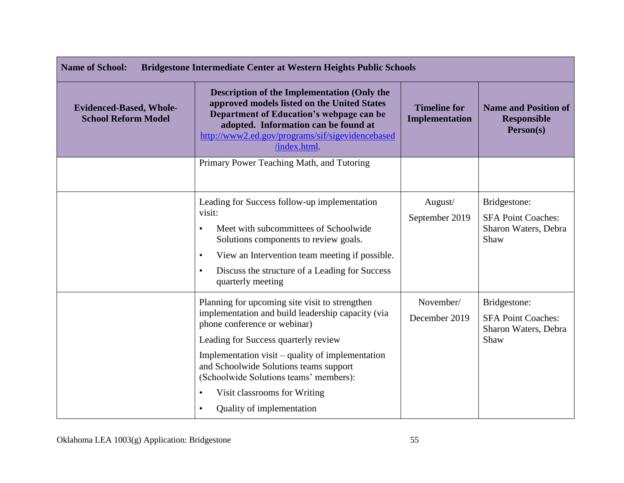| <b>Name of School:</b><br><b>Bridgestone Intermediate Center at Western Heights Public Schools</b> |                                                                                                                                                                                                                                                                                                                                                                                               |                                              |                                                                           |
|----------------------------------------------------------------------------------------------------|-----------------------------------------------------------------------------------------------------------------------------------------------------------------------------------------------------------------------------------------------------------------------------------------------------------------------------------------------------------------------------------------------|----------------------------------------------|---------------------------------------------------------------------------|
| <b>Evidenced-Based, Whole-</b><br><b>School Reform Model</b>                                       | <b>Description of the Implementation (Only the</b><br>approved models listed on the United States<br>Department of Education's webpage can be<br>adopted. Information can be found at<br>http://www2.ed.gov/programs/sif/sigevidencebased<br>/index.html.                                                                                                                                     | <b>Timeline for</b><br><b>Implementation</b> | <b>Name and Position of</b><br><b>Responsible</b><br>Person(s)            |
|                                                                                                    | Primary Power Teaching Math, and Tutoring                                                                                                                                                                                                                                                                                                                                                     |                                              |                                                                           |
|                                                                                                    | Leading for Success follow-up implementation<br>visit:<br>Meet with subcommittees of Schoolwide<br>$\bullet$<br>Solutions components to review goals.<br>View an Intervention team meeting if possible.<br>$\bullet$<br>Discuss the structure of a Leading for Success<br>$\bullet$<br>quarterly meeting                                                                                      | August/<br>September 2019                    | Bridgestone:<br><b>SFA Point Coaches:</b><br>Sharon Waters, Debra<br>Shaw |
|                                                                                                    | Planning for upcoming site visit to strengthen<br>implementation and build leadership capacity (via<br>phone conference or webinar)<br>Leading for Success quarterly review<br>Implementation visit – quality of implementation<br>and Schoolwide Solutions teams support<br>(Schoolwide Solutions teams' members):<br>Visit classrooms for Writing<br>Quality of implementation<br>$\bullet$ | November/<br>December 2019                   | Bridgestone:<br><b>SFA Point Coaches:</b><br>Sharon Waters, Debra<br>Shaw |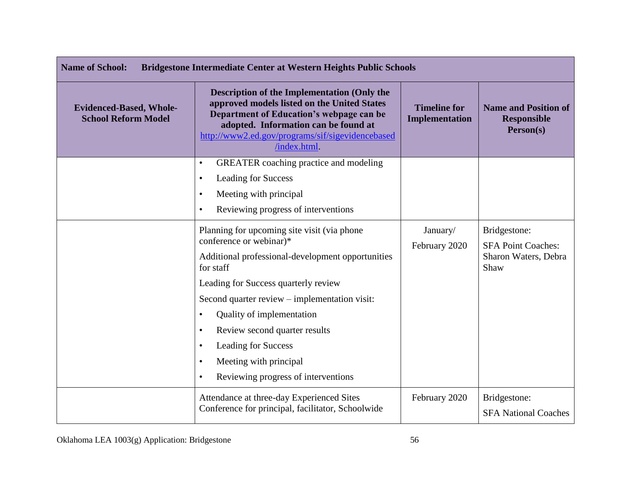| <b>Name of School:</b><br>Bridgestone Intermediate Center at Western Heights Public Schools |                                                                                                                                                                                                                                                           |                                              |                                                                |
|---------------------------------------------------------------------------------------------|-----------------------------------------------------------------------------------------------------------------------------------------------------------------------------------------------------------------------------------------------------------|----------------------------------------------|----------------------------------------------------------------|
| <b>Evidenced-Based, Whole-</b><br><b>School Reform Model</b>                                | <b>Description of the Implementation (Only the</b><br>approved models listed on the United States<br>Department of Education's webpage can be<br>adopted. Information can be found at<br>http://www2.ed.gov/programs/sif/sigevidencebased<br>/index.html. | <b>Timeline for</b><br><b>Implementation</b> | <b>Name and Position of</b><br><b>Responsible</b><br>Person(s) |
|                                                                                             | <b>GREATER</b> coaching practice and modeling<br>$\bullet$                                                                                                                                                                                                |                                              |                                                                |
|                                                                                             | <b>Leading for Success</b><br>$\bullet$                                                                                                                                                                                                                   |                                              |                                                                |
|                                                                                             | Meeting with principal<br>$\bullet$                                                                                                                                                                                                                       |                                              |                                                                |
|                                                                                             | Reviewing progress of interventions<br>$\bullet$                                                                                                                                                                                                          |                                              |                                                                |
|                                                                                             | Planning for upcoming site visit (via phone                                                                                                                                                                                                               | January/                                     | Bridgestone:                                                   |
|                                                                                             | conference or webinar)*                                                                                                                                                                                                                                   | February 2020                                | <b>SFA Point Coaches:</b>                                      |
|                                                                                             | Additional professional-development opportunities<br>for staff                                                                                                                                                                                            |                                              | Sharon Waters, Debra<br>Shaw                                   |
|                                                                                             | Leading for Success quarterly review                                                                                                                                                                                                                      |                                              |                                                                |
|                                                                                             | Second quarter review – implementation visit:                                                                                                                                                                                                             |                                              |                                                                |
|                                                                                             | Quality of implementation<br>$\bullet$                                                                                                                                                                                                                    |                                              |                                                                |
|                                                                                             | Review second quarter results<br>$\bullet$                                                                                                                                                                                                                |                                              |                                                                |
|                                                                                             | <b>Leading for Success</b><br>$\bullet$                                                                                                                                                                                                                   |                                              |                                                                |
|                                                                                             | Meeting with principal<br>$\bullet$                                                                                                                                                                                                                       |                                              |                                                                |
|                                                                                             | Reviewing progress of interventions                                                                                                                                                                                                                       |                                              |                                                                |
|                                                                                             | Attendance at three-day Experienced Sites                                                                                                                                                                                                                 | February 2020                                | Bridgestone:                                                   |
|                                                                                             | Conference for principal, facilitator, Schoolwide                                                                                                                                                                                                         |                                              | <b>SFA National Coaches</b>                                    |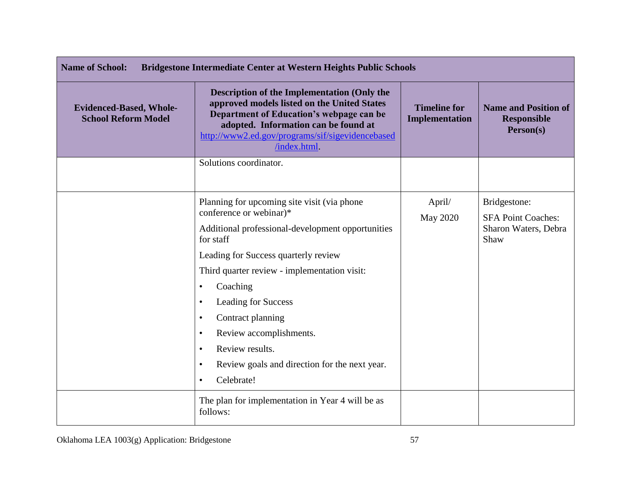| <b>Name of School:</b><br>Bridgestone Intermediate Center at Western Heights Public Schools |                                                                                                                                                                                                                                                                                                                                                                                                                                                                                     |                                       |                                                                           |
|---------------------------------------------------------------------------------------------|-------------------------------------------------------------------------------------------------------------------------------------------------------------------------------------------------------------------------------------------------------------------------------------------------------------------------------------------------------------------------------------------------------------------------------------------------------------------------------------|---------------------------------------|---------------------------------------------------------------------------|
| <b>Evidenced-Based, Whole-</b><br><b>School Reform Model</b>                                | <b>Description of the Implementation (Only the</b><br>approved models listed on the United States<br>Department of Education's webpage can be<br>adopted. Information can be found at<br>http://www2.ed.gov/programs/sif/sigevidencebased<br>/index.html                                                                                                                                                                                                                            | <b>Timeline for</b><br>Implementation | <b>Name and Position of</b><br><b>Responsible</b><br>Person(s)            |
|                                                                                             | Solutions coordinator.                                                                                                                                                                                                                                                                                                                                                                                                                                                              |                                       |                                                                           |
|                                                                                             | Planning for upcoming site visit (via phone<br>conference or webinar)*<br>Additional professional-development opportunities<br>for staff<br>Leading for Success quarterly review<br>Third quarter review - implementation visit:<br>Coaching<br>$\bullet$<br>Leading for Success<br>$\bullet$<br>Contract planning<br>$\bullet$<br>Review accomplishments.<br>$\bullet$<br>Review results.<br>Review goals and direction for the next year.<br>$\bullet$<br>Celebrate!<br>$\bullet$ | April/<br><b>May 2020</b>             | Bridgestone:<br><b>SFA Point Coaches:</b><br>Sharon Waters, Debra<br>Shaw |
|                                                                                             | The plan for implementation in Year 4 will be as<br>follows:                                                                                                                                                                                                                                                                                                                                                                                                                        |                                       |                                                                           |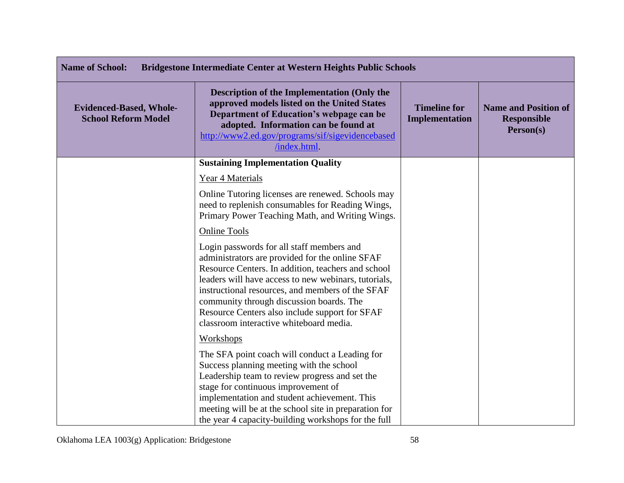| <b>Name of School:</b><br><b>Bridgestone Intermediate Center at Western Heights Public Schools</b> |                                                                                                                                                                                                                                                                                                                                                                                                         |                                       |                                                                |
|----------------------------------------------------------------------------------------------------|---------------------------------------------------------------------------------------------------------------------------------------------------------------------------------------------------------------------------------------------------------------------------------------------------------------------------------------------------------------------------------------------------------|---------------------------------------|----------------------------------------------------------------|
| <b>Evidenced-Based, Whole-</b><br><b>School Reform Model</b>                                       | <b>Description of the Implementation (Only the</b><br>approved models listed on the United States<br>Department of Education's webpage can be<br>adopted. Information can be found at<br>http://www2.ed.gov/programs/sif/sigevidencebased<br>/index.html.                                                                                                                                               | <b>Timeline for</b><br>Implementation | <b>Name and Position of</b><br><b>Responsible</b><br>Person(s) |
|                                                                                                    | <b>Sustaining Implementation Quality</b>                                                                                                                                                                                                                                                                                                                                                                |                                       |                                                                |
|                                                                                                    | Year 4 Materials                                                                                                                                                                                                                                                                                                                                                                                        |                                       |                                                                |
|                                                                                                    | Online Tutoring licenses are renewed. Schools may<br>need to replenish consumables for Reading Wings,<br>Primary Power Teaching Math, and Writing Wings.                                                                                                                                                                                                                                                |                                       |                                                                |
|                                                                                                    | <b>Online Tools</b>                                                                                                                                                                                                                                                                                                                                                                                     |                                       |                                                                |
|                                                                                                    | Login passwords for all staff members and<br>administrators are provided for the online SFAF<br>Resource Centers. In addition, teachers and school<br>leaders will have access to new webinars, tutorials,<br>instructional resources, and members of the SFAF<br>community through discussion boards. The<br>Resource Centers also include support for SFAF<br>classroom interactive whiteboard media. |                                       |                                                                |
|                                                                                                    | <b>Workshops</b>                                                                                                                                                                                                                                                                                                                                                                                        |                                       |                                                                |
|                                                                                                    | The SFA point coach will conduct a Leading for<br>Success planning meeting with the school<br>Leadership team to review progress and set the<br>stage for continuous improvement of<br>implementation and student achievement. This<br>meeting will be at the school site in preparation for<br>the year 4 capacity-building workshops for the full                                                     |                                       |                                                                |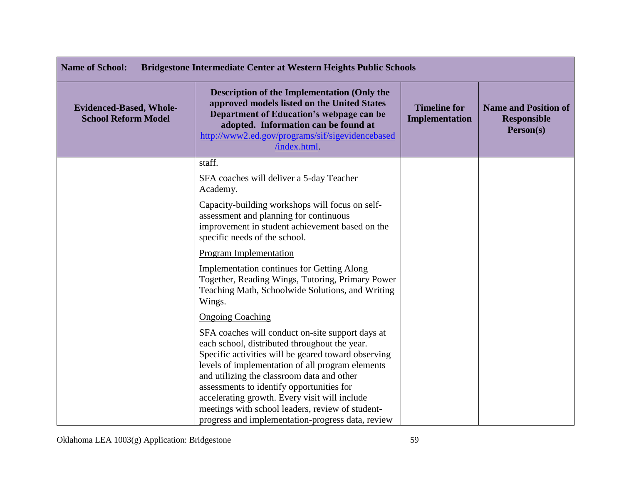| <b>Name of School:</b><br><b>Bridgestone Intermediate Center at Western Heights Public Schools</b> |                                                                                                                                                                                                                                                                                                                                                          |                                       |                                                                |
|----------------------------------------------------------------------------------------------------|----------------------------------------------------------------------------------------------------------------------------------------------------------------------------------------------------------------------------------------------------------------------------------------------------------------------------------------------------------|---------------------------------------|----------------------------------------------------------------|
| <b>Evidenced-Based, Whole-</b><br><b>School Reform Model</b>                                       | <b>Description of the Implementation (Only the</b><br>approved models listed on the United States<br>Department of Education's webpage can be<br>adopted. Information can be found at<br>http://www2.ed.gov/programs/sif/sigevidencebased<br>/index.html.                                                                                                | <b>Timeline for</b><br>Implementation | <b>Name and Position of</b><br><b>Responsible</b><br>Person(s) |
|                                                                                                    | staff.<br>SFA coaches will deliver a 5-day Teacher                                                                                                                                                                                                                                                                                                       |                                       |                                                                |
|                                                                                                    | Academy.                                                                                                                                                                                                                                                                                                                                                 |                                       |                                                                |
|                                                                                                    | Capacity-building workshops will focus on self-<br>assessment and planning for continuous<br>improvement in student achievement based on the<br>specific needs of the school.                                                                                                                                                                            |                                       |                                                                |
|                                                                                                    | Program Implementation                                                                                                                                                                                                                                                                                                                                   |                                       |                                                                |
|                                                                                                    | <b>Implementation continues for Getting Along</b><br>Together, Reading Wings, Tutoring, Primary Power<br>Teaching Math, Schoolwide Solutions, and Writing<br>Wings.                                                                                                                                                                                      |                                       |                                                                |
|                                                                                                    | <b>Ongoing Coaching</b>                                                                                                                                                                                                                                                                                                                                  |                                       |                                                                |
|                                                                                                    | SFA coaches will conduct on-site support days at<br>each school, distributed throughout the year.<br>Specific activities will be geared toward observing<br>levels of implementation of all program elements<br>and utilizing the classroom data and other<br>assessments to identify opportunities for<br>accelerating growth. Every visit will include |                                       |                                                                |
|                                                                                                    | meetings with school leaders, review of student-<br>progress and implementation-progress data, review                                                                                                                                                                                                                                                    |                                       |                                                                |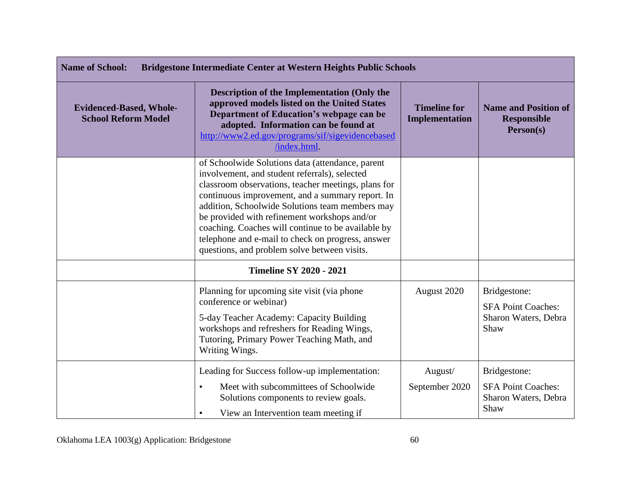| <b>Name of School:</b><br><b>Bridgestone Intermediate Center at Western Heights Public Schools</b> |                                                                                                                                                                                                                                                                                                                                                                                                                                                                            |                                       |                                                                           |
|----------------------------------------------------------------------------------------------------|----------------------------------------------------------------------------------------------------------------------------------------------------------------------------------------------------------------------------------------------------------------------------------------------------------------------------------------------------------------------------------------------------------------------------------------------------------------------------|---------------------------------------|---------------------------------------------------------------------------|
| <b>Evidenced-Based, Whole-</b><br><b>School Reform Model</b>                                       | <b>Description of the Implementation (Only the</b><br>approved models listed on the United States<br>Department of Education's webpage can be<br>adopted. Information can be found at<br>http://www2.ed.gov/programs/sif/sigevidencebased<br>/index.html.                                                                                                                                                                                                                  | <b>Timeline for</b><br>Implementation | <b>Name and Position of</b><br><b>Responsible</b><br>Person(s)            |
|                                                                                                    | of Schoolwide Solutions data (attendance, parent<br>involvement, and student referrals), selected<br>classroom observations, teacher meetings, plans for<br>continuous improvement, and a summary report. In<br>addition, Schoolwide Solutions team members may<br>be provided with refinement workshops and/or<br>coaching. Coaches will continue to be available by<br>telephone and e-mail to check on progress, answer<br>questions, and problem solve between visits. |                                       |                                                                           |
|                                                                                                    | <b>Timeline SY 2020 - 2021</b>                                                                                                                                                                                                                                                                                                                                                                                                                                             |                                       |                                                                           |
|                                                                                                    | Planning for upcoming site visit (via phone<br>conference or webinar)<br>5-day Teacher Academy: Capacity Building<br>workshops and refreshers for Reading Wings,<br>Tutoring, Primary Power Teaching Math, and<br>Writing Wings.                                                                                                                                                                                                                                           | August 2020                           | Bridgestone:<br><b>SFA Point Coaches:</b><br>Sharon Waters, Debra<br>Shaw |
|                                                                                                    | Leading for Success follow-up implementation:<br>Meet with subcommittees of Schoolwide<br>$\bullet$<br>Solutions components to review goals.<br>View an Intervention team meeting if<br>$\bullet$                                                                                                                                                                                                                                                                          | August/<br>September 2020             | Bridgestone:<br><b>SFA Point Coaches:</b><br>Sharon Waters, Debra<br>Shaw |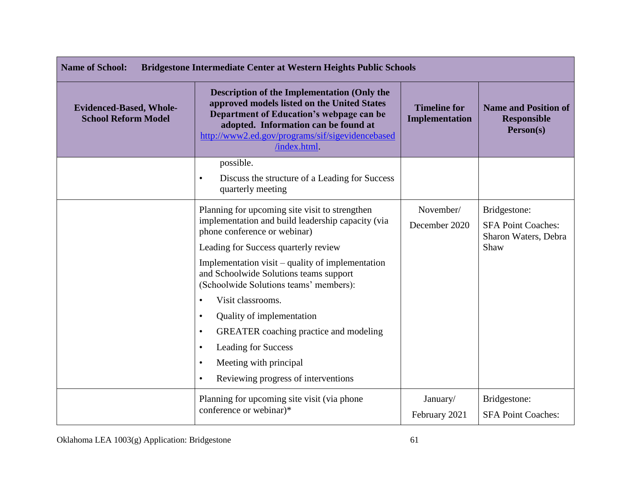| <b>Name of School:</b><br>Bridgestone Intermediate Center at Western Heights Public Schools |                                                                                                                                                                                                                                                          |                                       |                                                                           |
|---------------------------------------------------------------------------------------------|----------------------------------------------------------------------------------------------------------------------------------------------------------------------------------------------------------------------------------------------------------|---------------------------------------|---------------------------------------------------------------------------|
| <b>Evidenced-Based, Whole-</b><br><b>School Reform Model</b>                                | <b>Description of the Implementation (Only the</b><br>approved models listed on the United States<br>Department of Education's webpage can be<br>adopted. Information can be found at<br>http://www2.ed.gov/programs/sif/sigevidencebased<br>/index.html | <b>Timeline for</b><br>Implementation | <b>Name and Position of</b><br><b>Responsible</b><br>Person(s)            |
|                                                                                             | possible.<br>Discuss the structure of a Leading for Success<br>$\bullet$<br>quarterly meeting                                                                                                                                                            |                                       |                                                                           |
|                                                                                             | Planning for upcoming site visit to strengthen<br>implementation and build leadership capacity (via<br>phone conference or webinar)<br>Leading for Success quarterly review                                                                              | November/<br>December 2020            | Bridgestone:<br><b>SFA Point Coaches:</b><br>Sharon Waters, Debra<br>Shaw |
|                                                                                             | Implementation visit – quality of implementation<br>and Schoolwide Solutions teams support<br>(Schoolwide Solutions teams' members):                                                                                                                     |                                       |                                                                           |
|                                                                                             | Visit classrooms.<br>Quality of implementation<br>$\bullet$<br><b>GREATER</b> coaching practice and modeling<br>$\bullet$<br>Leading for Success<br>$\bullet$<br>Meeting with principal<br>$\bullet$<br>Reviewing progress of interventions<br>$\bullet$ |                                       |                                                                           |
|                                                                                             | Planning for upcoming site visit (via phone<br>conference or webinar)*                                                                                                                                                                                   | January/<br>February 2021             | Bridgestone:<br><b>SFA Point Coaches:</b>                                 |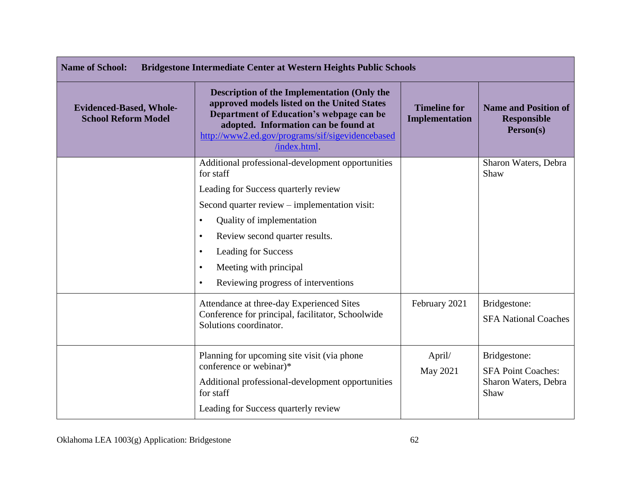| <b>Name of School:</b><br><b>Bridgestone Intermediate Center at Western Heights Public Schools</b> |                                                                                                                                                                                                                                                                                                                                                            |                                       |                                                                           |
|----------------------------------------------------------------------------------------------------|------------------------------------------------------------------------------------------------------------------------------------------------------------------------------------------------------------------------------------------------------------------------------------------------------------------------------------------------------------|---------------------------------------|---------------------------------------------------------------------------|
| <b>Evidenced-Based, Whole-</b><br><b>School Reform Model</b>                                       | <b>Description of the Implementation (Only the</b><br>approved models listed on the United States<br>Department of Education's webpage can be<br>adopted. Information can be found at<br>http://www2.ed.gov/programs/sif/sigevidencebased<br>/index.html                                                                                                   | <b>Timeline for</b><br>Implementation | <b>Name and Position of</b><br><b>Responsible</b><br>Person(s)            |
|                                                                                                    | Additional professional-development opportunities<br>for staff                                                                                                                                                                                                                                                                                             |                                       | Sharon Waters, Debra<br>Shaw                                              |
|                                                                                                    | Leading for Success quarterly review<br>Second quarter review - implementation visit:<br>Quality of implementation<br>$\bullet$<br>Review second quarter results.<br>$\bullet$<br>Leading for Success<br>$\bullet$<br>Meeting with principal<br>$\bullet$<br>Reviewing progress of interventions<br>$\bullet$<br>Attendance at three-day Experienced Sites | February 2021                         | Bridgestone:                                                              |
|                                                                                                    | Conference for principal, facilitator, Schoolwide<br>Solutions coordinator.                                                                                                                                                                                                                                                                                |                                       | <b>SFA National Coaches</b>                                               |
|                                                                                                    | Planning for upcoming site visit (via phone)<br>conference or webinar)*<br>Additional professional-development opportunities<br>for staff<br>Leading for Success quarterly review                                                                                                                                                                          | April/<br>May 2021                    | Bridgestone:<br><b>SFA Point Coaches:</b><br>Sharon Waters, Debra<br>Shaw |